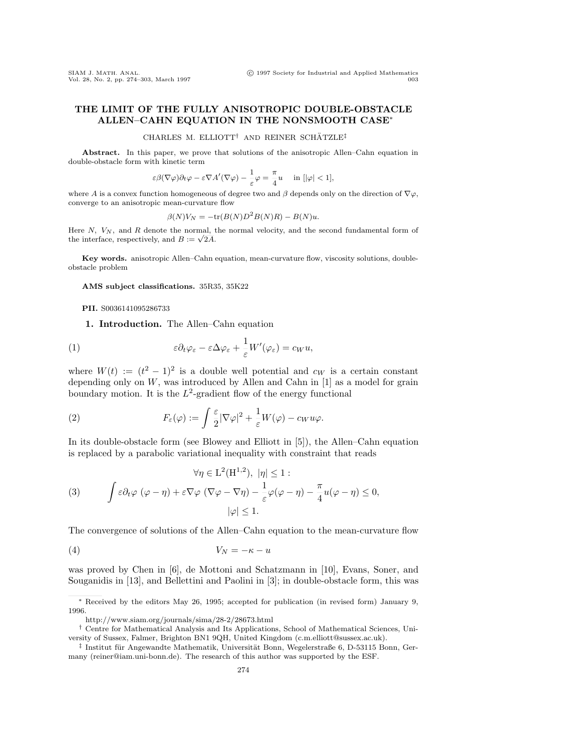Vol. 28, No. 2, pp. 274-303, March 1997

# **THE LIMIT OF THE FULLY ANISOTROPIC DOUBLE-OBSTACLE ALLEN–CAHN EQUATION IN THE NONSMOOTH CASE***<sup>∗</sup>*

CHARLES M. ELLIOTT<sup>†</sup> AND REINER SCHÄTZLE<sup>‡</sup>

**Abstract.** In this paper, we prove that solutions of the anisotropic Allen–Cahn equation in double-obstacle form with kinetic term

$$
\varepsilon \beta(\nabla \varphi) \partial_t \varphi - \varepsilon \nabla A'(\nabla \varphi) - \frac{1}{\varepsilon} \varphi = \frac{\pi}{4} u \quad \text{ in } [|\varphi| < 1],
$$

where A is a convex function homogeneous of degree two and  $\beta$  depends only on the direction of  $\nabla \varphi$ , converge to an anisotropic mean-curvature flow

$$
\beta(N)V_N = -\text{tr}(B(N)D^2B(N)R) - B(N)u.
$$

Here  $N$ ,  $V_N$ , and  $R$  denote the normal, the normal velocity, and the second fundamental form of the interface, respectively, and  $B := \sqrt{2A}$ .

Key words. anisotropic Allen–Cahn equation, mean-curvature flow, viscosity solutions, doubleobstacle problem

**AMS subject classifications.** 35R35, 35K22

#### **PII.** S0036141095286733

**1. Introduction.** The Allen–Cahn equation

(1) 
$$
\varepsilon \partial_t \varphi_{\varepsilon} - \varepsilon \Delta \varphi_{\varepsilon} + \frac{1}{\varepsilon} W'(\varphi_{\varepsilon}) = c_W u,
$$

where  $W(t) := (t^2 - 1)^2$  is a double well potential and  $c_W$  is a certain constant depending only on  $W$ , was introduced by Allen and Cahn in  $[1]$  as a model for grain boundary motion. It is the  $L^2$ -gradient flow of the energy functional

(2) 
$$
F_{\varepsilon}(\varphi) := \int \frac{\varepsilon}{2} |\nabla \varphi|^2 + \frac{1}{\varepsilon} W(\varphi) - c_W u \varphi.
$$

In its double-obstacle form (see Blowey and Elliott in [5]), the Allen–Cahn equation is replaced by a parabolic variational inequality with constraint that reads

(3) 
$$
\forall \eta \in L^{2}(H^{1,2}), \ |\eta| \leq 1 :
$$

$$
\int \varepsilon \partial_{t} \varphi \ (\varphi - \eta) + \varepsilon \nabla \varphi \ (\nabla \varphi - \nabla \eta) - \frac{1}{\varepsilon} \varphi(\varphi - \eta) - \frac{\pi}{4} u(\varphi - \eta) \leq 0,
$$

$$
|\varphi| \leq 1.
$$

The convergence of solutions of the Allen–Cahn equation to the mean-curvature flow

$$
(4) \t\t V_N = -\kappa - u
$$

was proved by Chen in [6], de Mottoni and Schatzmann in [10], Evans, Soner, and Souganidis in [13], and Bellettini and Paolini in [3]; in double-obstacle form, this was

*<sup>∗</sup>* Received by the editors May 26, 1995; accepted for publication (in revised form) January 9, 1996.

http://www.siam.org/journals/sima/28-2/28673.html

*<sup>†</sup>* Centre for Mathematical Analysis and Its Applications, School of Mathematical Sciences, University of Sussex, Falmer, Brighton BN1 9QH, United Kingdom (c.m.elliott@sussex.ac.uk).

<sup>&</sup>lt;sup>‡</sup> Institut für Angewandte Mathematik, Universität Bonn, Wegelerstraße 6, D-53115 Bonn, Germany (reiner@iam.uni-bonn.de). The research of this author was supported by the ESF.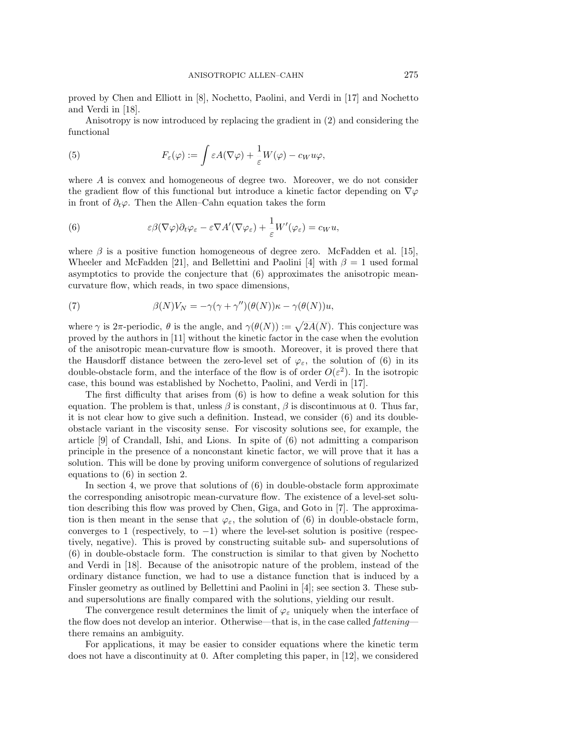proved by Chen and Elliott in [8], Nochetto, Paolini, and Verdi in [17] and Nochetto and Verdi in [18].

Anisotropy is now introduced by replacing the gradient in (2) and considering the functional

(5) 
$$
F_{\varepsilon}(\varphi) := \int \varepsilon A(\nabla \varphi) + \frac{1}{\varepsilon} W(\varphi) - c_W u \varphi,
$$

where A is convex and homogeneous of degree two. Moreover, we do not consider the gradient flow of this functional but introduce a kinetic factor depending on *∇*ϕ in front of  $\partial_t \varphi$ . Then the Allen–Cahn equation takes the form

(6) 
$$
\varepsilon \beta(\nabla \varphi) \partial_t \varphi_\varepsilon - \varepsilon \nabla A'(\nabla \varphi_\varepsilon) + \frac{1}{\varepsilon} W'(\varphi_\varepsilon) = c_W u,
$$

where  $\beta$  is a positive function homogeneous of degree zero. McFadden et al. [15], Wheeler and McFadden [21], and Bellettini and Paolini [4] with  $\beta = 1$  used formal asymptotics to provide the conjecture that (6) approximates the anisotropic meancurvature flow, which reads, in two space dimensions,

(7) 
$$
\beta(N)V_N = -\gamma(\gamma + \gamma'')(\theta(N))\kappa - \gamma(\theta(N))u,
$$

where  $\gamma$  is  $2\pi$ -periodic,  $\theta$  is the angle, and  $\gamma(\theta(N)) := \sqrt{2A(N)}$ . This conjecture was proved by the authors in [11] without the kinetic factor in the case when the evolution of the anisotropic mean-curvature flow is smooth. Moreover, it is proved there that the Hausdorff distance between the zero-level set of  $\varphi_{\varepsilon}$ , the solution of (6) in its double-obstacle form, and the interface of the flow is of order  $O(\varepsilon^2)$ . In the isotropic case, this bound was established by Nochetto, Paolini, and Verdi in [17].

The first difficulty that arises from (6) is how to define a weak solution for this equation. The problem is that, unless  $\beta$  is constant,  $\beta$  is discontinuous at 0. Thus far, it is not clear how to give such a definition. Instead, we consider (6) and its doubleobstacle variant in the viscosity sense. For viscosity solutions see, for example, the article [9] of Crandall, Ishi, and Lions. In spite of (6) not admitting a comparison principle in the presence of a nonconstant kinetic factor, we will prove that it has a solution. This will be done by proving uniform convergence of solutions of regularized equations to (6) in section 2.

In section 4, we prove that solutions of (6) in double-obstacle form approximate the corresponding anisotropic mean-curvature flow. The existence of a level-set solution describing this flow was proved by Chen, Giga, and Goto in [7]. The approximation is then meant in the sense that  $\varphi_{\varepsilon}$ , the solution of (6) in double-obstacle form, converges to 1 (respectively, to *−*1) where the level-set solution is positive (respectively, negative). This is proved by constructing suitable sub- and supersolutions of (6) in double-obstacle form. The construction is similar to that given by Nochetto and Verdi in [18]. Because of the anisotropic nature of the problem, instead of the ordinary distance function, we had to use a distance function that is induced by a Finsler geometry as outlined by Bellettini and Paolini in [4]; see section 3. These suband supersolutions are finally compared with the solutions, yielding our result.

The convergence result determines the limit of  $\varphi_{\varepsilon}$  uniquely when the interface of the flow does not develop an interior. Otherwise—that is, in the case called *fattening* there remains an ambiguity.

For applications, it may be easier to consider equations where the kinetic term does not have a discontinuity at 0. After completing this paper, in [12], we considered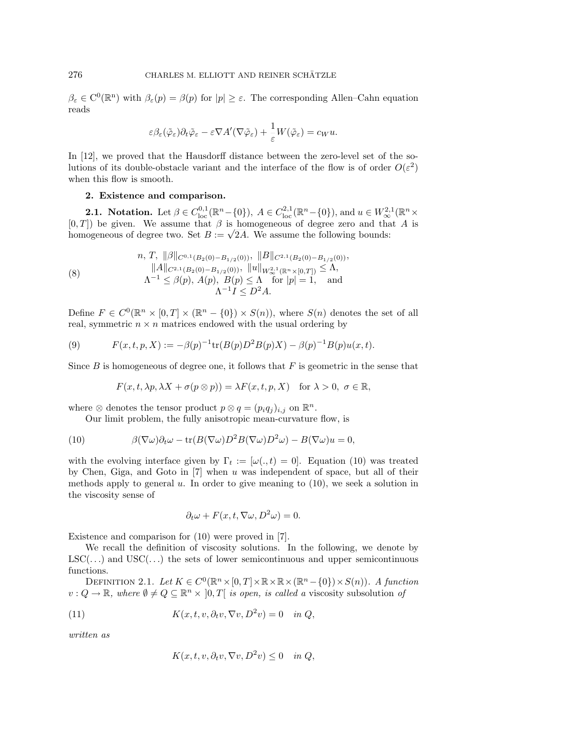$\beta_{\varepsilon} \in C^{0}(\mathbb{R}^{n})$  with  $\beta_{\varepsilon}(p) = \beta(p)$  for  $|p| \geq \varepsilon$ . The corresponding Allen–Cahn equation reads

$$
\varepsilon \beta_{\varepsilon}(\tilde{\varphi}_{\varepsilon}) \partial_t \tilde{\varphi}_{\varepsilon} - \varepsilon \nabla A'(\nabla \tilde{\varphi}_{\varepsilon}) + \frac{1}{\varepsilon} W(\tilde{\varphi}_{\varepsilon}) = c_W u.
$$

In [12], we proved that the Hausdorff distance between the zero-level set of the solutions of its double-obstacle variant and the interface of the flow is of order  $O(\varepsilon^2)$ when this flow is smooth.

## **2. Existence and comparison.**

**2.1. Notation.** Let  $\beta \in C_{\text{loc}}^{0,1}(\mathbb{R}^n - \{0\})$ ,  $A \in C_{\text{loc}}^{2,1}(\mathbb{R}^n - \{0\})$ , and  $u \in W_{\infty}^{2,1}(\mathbb{R}^n \times$ <br>[0,*T*]) be given. We assume that  $\beta$  is homogeneous of degree zero and that A is  $[0, 1]$  be given. We assume that  $\beta$  is nomogeneous of degree zero and the homogeneous of degree two. Set  $B := \sqrt{2A}$ . We assume the following bounds:

(8) 
$$
n, T, \|\beta\|_{C^{0,1}(B_2(0)-B_{1/2}(0))}, \|B\|_{C^{2,1}(B_2(0)-B_{1/2}(0))},
$$

$$
\|A\|_{C^{2,1}(B_2(0)-B_{1/2}(0))}, \|u\|_{W_{\infty}^{2,1}(\mathbb{R}^n \times [0,T])} \leq \Lambda,
$$

$$
\Lambda^{-1} \leq \beta(p), A(p), B(p) \leq \Lambda \quad \text{for } |p| = 1, \text{ and}
$$

$$
\Lambda^{-1} I \leq D^2 A.
$$

Define  $F \in C^{0}(\mathbb{R}^{n} \times [0, T] \times (\mathbb{R}^{n} - \{0\}) \times S(n))$ , where  $S(n)$  denotes the set of all real, symmetric  $n \times n$  matrices endowed with the usual ordering by

(9) 
$$
F(x,t,p,X) := -\beta(p)^{-1} \text{tr}(B(p)D^2B(p)X) - \beta(p)^{-1}B(p)u(x,t).
$$

Since  $B$  is homogeneous of degree one, it follows that  $F$  is geometric in the sense that

$$
F(x, t, \lambda p, \lambda X + \sigma(p \otimes p)) = \lambda F(x, t, p, X) \text{ for } \lambda > 0, \ \sigma \in \mathbb{R},
$$

where  $\otimes$  denotes the tensor product  $p \otimes q = (p_i q_i)_{i,j}$  on  $\mathbb{R}^n$ .

Our limit problem, the fully anisotropic mean-curvature flow, is

(10) 
$$
\beta(\nabla\omega)\partial_t\omega - \text{tr}(B(\nabla\omega)D^2B(\nabla\omega)D^2\omega) - B(\nabla\omega)u = 0,
$$

with the evolving interface given by  $\Gamma_t := [\omega(., t) = 0]$ . Equation (10) was treated by Chen, Giga, and Goto in  $[7]$  when u was independent of space, but all of their methods apply to general u. In order to give meaning to  $(10)$ , we seek a solution in the viscosity sense of

$$
\partial_t \omega + F(x, t, \nabla \omega, D^2 \omega) = 0.
$$

Existence and comparison for (10) were proved in [7].

We recall the definition of viscosity solutions. In the following, we denote by  $LSC(...)$  and  $USC(...)$  the sets of lower semicontinuous and upper semicontinuous functions.

DEFINITION 2.1. Let  $K \in C^{0}(\mathbb{R}^{n} \times [0, T] \times \mathbb{R} \times \mathbb{R} \times (\mathbb{R}^{n} - \{0\}) \times S(n))$ . A function  $v: Q \to \mathbb{R}$ , where  $\emptyset \neq Q \subseteq \mathbb{R}^n \times [0,T]$  is open, is called a viscosity subsolution of

(11) 
$$
K(x, t, v, \partial_t v, \nabla v, D^2 v) = 0 \quad in \ Q,
$$

written as

$$
K(x, t, v, \partial_t v, \nabla v, D^2 v) \le 0 \quad in \ Q,
$$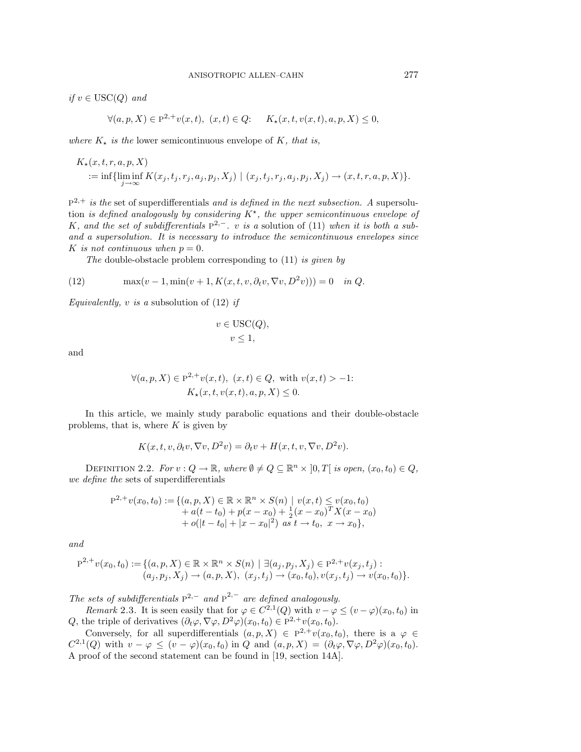*if*  $v ∈ \text{USC}(Q)$  and

$$
\forall (a, p, X) \in \mathbb{P}^{2,+}v(x,t), \ (x,t) \in Q: \quad K_{\star}(x,t,v(x,t),a,p,X) \le 0,
$$

where  $K_{\star}$  is the lower semicontinuous envelope of K, that is,

$$
K_{\star}(x, t, r, a, p, X) = \inf \{ \liminf_{j \to \infty} K(x_j, t_j, r_j, a_j, p_j, X_j) \mid (x_j, t_j, r_j, a_j, p_j, X_j) \to (x, t, r, a, p, X) \}.
$$

 $P^{2,+}$  is the set of superdifferentials and is defined in the next subsection. A supersolution is defined analogously by considering  $K^*$ , the upper semicontinuous envelope of K, and the set of subdifferentials  $P^{2,-}$ . v is a solution of (11) when it is both a suband a supersolution. It is necessary to introduce the semicontinuous envelopes since K is not continuous when  $p = 0$ .

The double-obstacle problem corresponding to  $(11)$  is given by

(12) 
$$
\max(v - 1, \min(v + 1, K(x, t, v, \partial_t v, \nabla v, D^2 v))) = 0 \text{ in } Q.
$$

Equivalently, v is a subsolution of  $(12)$  if

$$
v \in \text{USC}(Q),
$$
  

$$
v \le 1,
$$

and

$$
\forall (a, p, X) \in \mathbb{P}^{2,+}v(x,t), \ (x,t) \in Q, \text{ with } v(x,t) > -1: \\
K_{\star}(x,t,v(x,t), a, p, X) \leq 0.
$$

In this article, we mainly study parabolic equations and their double-obstacle problems, that is, where  $K$  is given by

$$
K(x, t, v, \partial_t v, \nabla v, D^2 v) = \partial_t v + H(x, t, v, \nabla v, D^2 v).
$$

DEFINITION 2.2. For  $v : Q \to \mathbb{R}$ , where  $\emptyset \neq Q \subseteq \mathbb{R}^n \times [0, T]$  is open,  $(x_0, t_0) \in Q$ , we define the sets of superdifferentials

$$
P^{2,+}v(x_0,t_0) := \{(a,p,X) \in \mathbb{R} \times \mathbb{R}^n \times S(n) \mid v(x,t) \leq v(x_0,t_0) + a(t-t_0) + p(x-x_0) + \frac{1}{2}(x-x_0)^T X(x-x_0) + o(|t-t_0| + |x-x_0|^2) \text{ as } t \to t_0, x \to x_0\},\
$$

and

$$
\overline{P}^{2,+}v(x_0,t_0) := \{(a, p, X) \in \mathbb{R} \times \mathbb{R}^n \times S(n) \mid \exists (a_j, p_j, X_j) \in P^{2,+}v(x_j, t_j) : (a_j, p_j, X_j) \to (a, p, X), (x_j, t_j) \to (x_0, t_0), v(x_j, t_j) \to v(x_0, t_0)\}.
$$

The sets of subdifferentials  $P^{2,-}$  and  $\overline{P}^{2,-}$  are defined analogously.

Remark 2.3. It is seen easily that for  $\varphi \in C^{2,1}(Q)$  with  $v - \varphi \leq (v - \varphi)(x_0, t_0)$  in Q, the triple of derivatives  $(\partial_t \varphi, \nabla \varphi, D^2 \varphi)(x_0, t_0) \in P^{2,+}v(x_0, t_0)$ .

Conversely, for all superdifferentials  $(a, p, X) \in P^{2,+}v(x_0, t_0)$ , there is a  $\varphi \in$  $C^{2,1}(Q)$  with  $v - \varphi \leq (v - \varphi)(x_0, t_0)$  in Q and  $(a, p, X) = (\partial_t \varphi, \nabla \varphi, D^2 \varphi)(x_0, t_0)$ . A proof of the second statement can be found in [19, section 14A].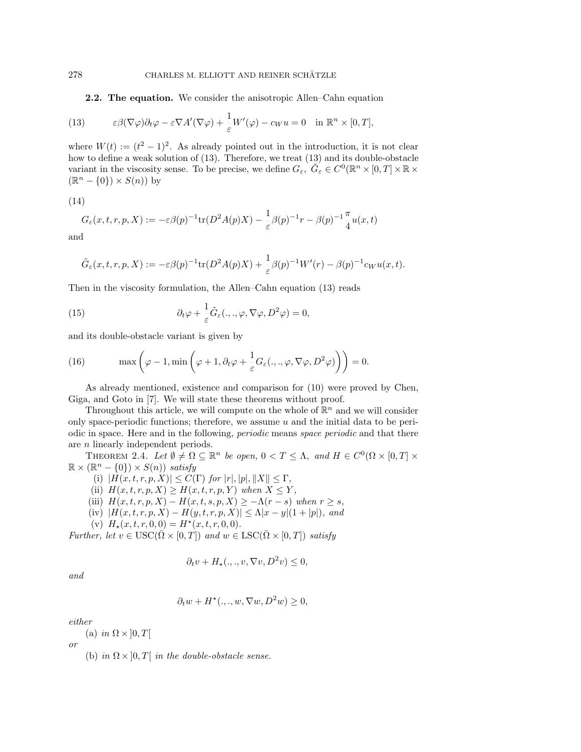**2.2. The equation.** We consider the anisotropic Allen–Cahn equation

(13) 
$$
\varepsilon \beta(\nabla \varphi) \partial_t \varphi - \varepsilon \nabla A'(\nabla \varphi) + \frac{1}{\varepsilon} W'(\varphi) - c_W u = 0 \quad \text{in } \mathbb{R}^n \times [0, T],
$$

where  $W(t) := (t^2 - 1)^2$ . As already pointed out in the introduction, it is not clear how to define a weak solution of (13). Therefore, we treat (13) and its double-obstacle variant in the viscosity sense. To be precise, we define  $G_{\varepsilon}$ ,  $\tilde{G}_{\varepsilon} \in C^0(\mathbb{R}^n \times [0, T] \times \mathbb{R} \times$  $(\mathbb{R}^n - \{0\}) \times S(n))$  by

$$
(14)
$$

$$
G_{\varepsilon}(x,t,r,p,X) := -\varepsilon \beta(p)^{-1} \text{tr}(D^2 A(p)X) - \frac{1}{\varepsilon} \beta(p)^{-1} r - \beta(p)^{-1} \frac{\pi}{4} u(x,t)
$$

and

$$
\tilde{G}_{\varepsilon}(x,t,r,p,X) := -\varepsilon \beta(p)^{-1} \text{tr}(D^2 A(p)X) + \frac{1}{\varepsilon} \beta(p)^{-1} W'(r) - \beta(p)^{-1} c_W u(x,t).
$$

Then in the viscosity formulation, the Allen–Cahn equation (13) reads

(15) 
$$
\partial_t \varphi + \frac{1}{\varepsilon} \tilde{G}_\varepsilon(.,.,\varphi,\nabla \varphi, D^2 \varphi) = 0,
$$

and its double-obstacle variant is given by

(16) 
$$
\max\left(\varphi-1,\min\left(\varphi+1,\partial_t\varphi+\frac{1}{\varepsilon}G_{\varepsilon}(.,.,\varphi,\nabla\varphi,D^2\varphi)\right)\right)=0.
$$

As already mentioned, existence and comparison for (10) were proved by Chen, Giga, and Goto in [7]. We will state these theorems without proof.

Throughout this article, we will compute on the whole of  $\mathbb{R}^n$  and we will consider only space-periodic functions; therefore, we assume  $u$  and the initial data to be periodic in space. Here and in the following, periodic means space periodic and that there are n linearly independent periods.

THEOREM 2.4. Let  $\emptyset \neq \Omega \subseteq \mathbb{R}^n$  be open,  $0 < T \leq \Lambda$ , and  $H \in C^0(\Omega \times [0,T] \times$  $\mathbb{R} \times (\mathbb{R}^n - \{0\}) \times S(n)$  satisfy

(i)  $|H(x, t, r, p, X)| \leq C(\Gamma)$  for  $|r|, |p|, \|X\| \leq \Gamma$ ,

- (ii)  $H(x, t, r, p, X) \geq H(x, t, r, p, Y)$  when  $X \leq Y$ ,
- (iii)  $H(x, t, r, p, X) H(x, t, s, p, X) \geq -\Lambda(r s)$  when  $r \geq s$ ,
- $(iv)$   $|H(x, t, r, p, X) H(y, t, r, p, X)| \leq \Lambda |x y|(1 + |p|)$ , and
- (v)  $H_*(x, t, r, 0, 0) = H^*(x, t, r, 0, 0).$

Further, let  $v \in \text{USC}(\bar{\Omega} \times [0,T])$  and  $w \in \text{LSC}(\bar{\Omega} \times [0,T])$  satisfy

$$
\partial_t v + H_\star(.,.,v,\nabla v,D^2v) \le 0,
$$

and

$$
\partial_t w + H^*(.,.,w, \nabla w, D^2 w) \ge 0,
$$

either

(a) in  $\Omega \times ]0, T[$ 

or

(b) in  $\Omega \times ]0,T[$  in the double-obstacle sense.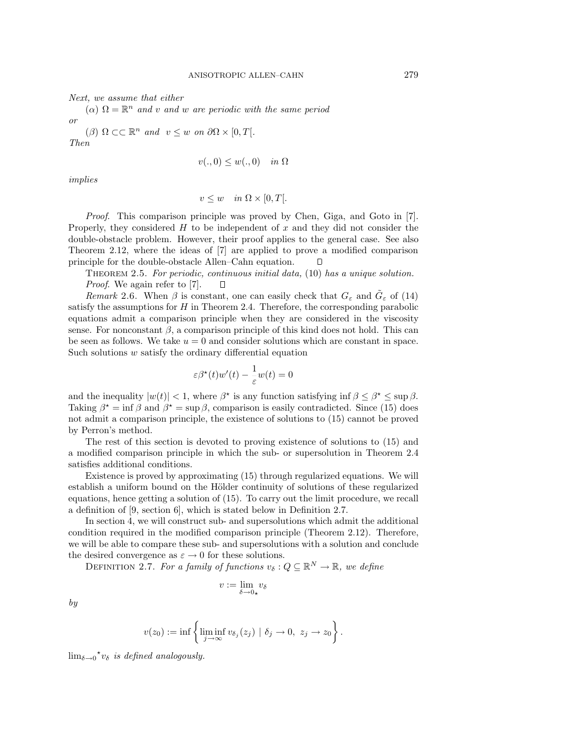Next, we assume that either

 $(\alpha) \Omega = \mathbb{R}^n$  and v and w are periodic with the same period or

( $\beta$ )  $\Omega \subset \mathbb{R}^n$  and  $v \leq w$  on  $\partial \Omega \times [0, T].$ 

Then

$$
v(.,0) \le w(.,0) \quad in \ \Omega
$$

implies

$$
v \le w \quad in \ \Omega \times [0, T[.
$$

Proof. This comparison principle was proved by Chen, Giga, and Goto in [7]. Properly, they considered  $H$  to be independent of  $x$  and they did not consider the double-obstacle problem. However, their proof applies to the general case. See also Theorem 2.12, where the ideas of [7] are applied to prove a modified comparison principle for the double-obstacle Allen–Cahn equation. Л

THEOREM 2.5. For periodic, continuous initial data,  $(10)$  has a unique solution. Proof. We again refer to [7].  $\Box$ 

Remark 2.6. When  $\beta$  is constant, one can easily check that  $G_{\varepsilon}$  and  $G_{\varepsilon}$  of (14) satisfy the assumptions for  $H$  in Theorem 2.4. Therefore, the corresponding parabolic equations admit a comparison principle when they are considered in the viscosity sense. For nonconstant  $\beta$ , a comparison principle of this kind does not hold. This can be seen as follows. We take  $u = 0$  and consider solutions which are constant in space. Such solutions  $w$  satisfy the ordinary differential equation

$$
\varepsilon \beta^{\star}(t)w'(t) - \frac{1}{\varepsilon}w(t) = 0
$$

and the inequality  $|w(t)| < 1$ , where  $\beta^*$  is any function satisfying inf  $\beta \leq \beta^* \leq \sup \beta$ . Taking  $\beta^* = \inf \beta$  and  $\beta^* = \sup \beta$ , comparison is easily contradicted. Since (15) does not admit a comparison principle, the existence of solutions to (15) cannot be proved by Perron's method.

The rest of this section is devoted to proving existence of solutions to (15) and a modified comparison principle in which the sub- or supersolution in Theorem 2.4 satisfies additional conditions.

Existence is proved by approximating (15) through regularized equations. We will establish a uniform bound on the Hölder continuity of solutions of these regularized equations, hence getting a solution of (15). To carry out the limit procedure, we recall a definition of [9, section 6], which is stated below in Definition 2.7.

In section 4, we will construct sub- and supersolutions which admit the additional condition required in the modified comparison principle (Theorem 2.12). Therefore, we will be able to compare these sub- and supersolutions with a solution and conclude the desired convergence as  $\varepsilon \to 0$  for these solutions.

DEFINITION 2.7. For a family of functions  $v_{\delta}: Q \subseteq \mathbb{R}^{N} \to \mathbb{R}$ , we define

$$
v:=\lim_{\delta\to 0_\star}v_\delta
$$

by

$$
v(z_0) := \inf \left\{ \liminf_{j \to \infty} v_{\delta_j}(z_j) \mid \delta_j \to 0, \ z_j \to z_0 \right\}.
$$

 $\lim_{\delta \to 0} \star v_{\delta}$  is defined analogously.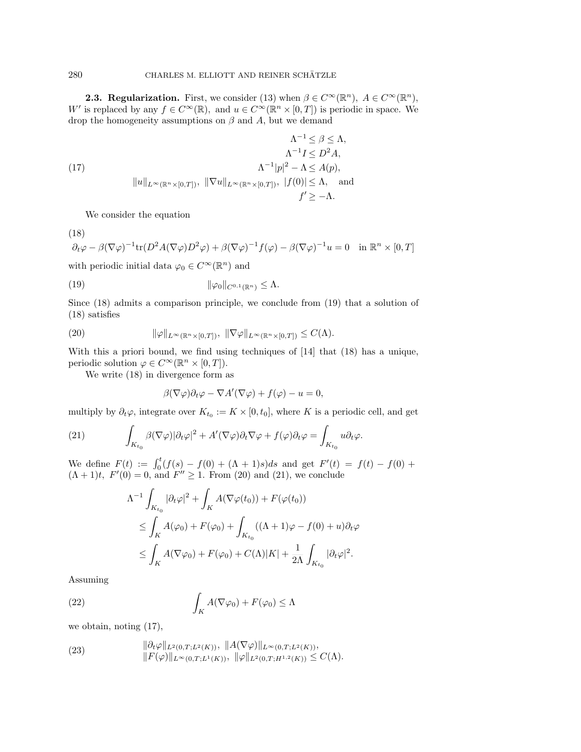**2.3. Regularization.** First, we consider (13) when  $\beta \in C^{\infty}(\mathbb{R}^n)$ ,  $A \in C^{\infty}(\mathbb{R}^n)$ , W' is replaced by any  $f \in C^{\infty}(\mathbb{R})$ , and  $u \in C^{\infty}(\mathbb{R}^n \times [0,T])$  is periodic in space. We drop the homogeneity assumptions on  $\beta$  and  $A$ , but we demand

$$
\Lambda^{-1} \leq \beta \leq \Lambda,
$$
  
\n
$$
\Lambda^{-1} I \leq D^2 A,
$$
  
\n
$$
\Lambda^{-1} |p|^2 - \Lambda \leq A(p),
$$
  
\n
$$
||u||_{L^{\infty}(\mathbb{R}^n \times [0,T])}, ||\nabla u||_{L^{\infty}(\mathbb{R}^n \times [0,T])}, ||f(0)| \leq \Lambda, \text{ and}
$$
  
\n
$$
f' \geq -\Lambda.
$$

We consider the equation

(18)

$$
\partial_t \varphi - \beta (\nabla \varphi)^{-1} \text{tr}(D^2 A (\nabla \varphi) D^2 \varphi) + \beta (\nabla \varphi)^{-1} f(\varphi) - \beta (\nabla \varphi)^{-1} u = 0 \quad \text{in } \mathbb{R}^n \times [0, T]
$$

with periodic initial data  $\varphi_0 \in C^\infty(\mathbb{R}^n)$  and

*k*ϕ0*k*C0,<sup>1</sup> (19) (Rn) *≤* Λ.

Since (18) admits a comparison principle, we conclude from (19) that a solution of (18) satisfies

(20) 
$$
\|\varphi\|_{L^{\infty}(\mathbb{R}^n \times [0,T])}, \ \|\nabla \varphi\|_{L^{\infty}(\mathbb{R}^n \times [0,T])} \leq C(\Lambda).
$$

With this a priori bound, we find using techniques of [14] that (18) has a unique, periodic solution  $\varphi \in C^{\infty}(\mathbb{R}^n \times [0,T]).$ 

We write (18) in divergence form as

$$
\beta(\nabla \varphi)\partial_t \varphi - \nabla A'(\nabla \varphi) + f(\varphi) - u = 0,
$$

multiply by  $\partial_t \varphi$ , integrate over  $K_{t_0} := K \times [0, t_0]$ , where K is a periodic cell, and get

(21) 
$$
\int_{K_{t_0}} \beta(\nabla \varphi) |\partial_t \varphi|^2 + A'(\nabla \varphi) \partial_t \nabla \varphi + f(\varphi) \partial_t \varphi = \int_{K_{t_0}} u \partial_t \varphi.
$$

We define  $F(t) := \int_0^t (f(s) - f(0) + (\Lambda + 1)s)ds$  and get  $F'(t) = f(t) - f(0) +$  $(\Lambda + 1)t$ ,  $F'(0) = 0$ , and  $F'' \ge 1$ . From (20) and (21), we conclude

$$
\Lambda^{-1} \int_{K_{t_0}} |\partial_t \varphi|^2 + \int_K A(\nabla \varphi(t_0)) + F(\varphi(t_0))
$$
  
\n
$$
\leq \int_K A(\varphi_0) + F(\varphi_0) + \int_{K_{t_0}} ((\Lambda + 1)\varphi - f(0) + u) \partial_t \varphi
$$
  
\n
$$
\leq \int_K A(\nabla \varphi_0) + F(\varphi_0) + C(\Lambda) |K| + \frac{1}{2\Lambda} \int_{K_{t_0}} |\partial_t \varphi|^2.
$$

Assuming

(22) 
$$
\int_K A(\nabla \varphi_0) + F(\varphi_0) \leq \Lambda
$$

we obtain, noting (17),

(23) 
$$
\|\partial_t \varphi\|_{L^2(0,T;L^2(K))}, \|A(\nabla \varphi)\|_{L^\infty(0,T;L^2(K))}, \|F(\varphi)\|_{L^\infty(0,T;L^1(K))}, \| \varphi\|_{L^2(0,T;H^{1,2}(K))} \leq C(\Lambda).
$$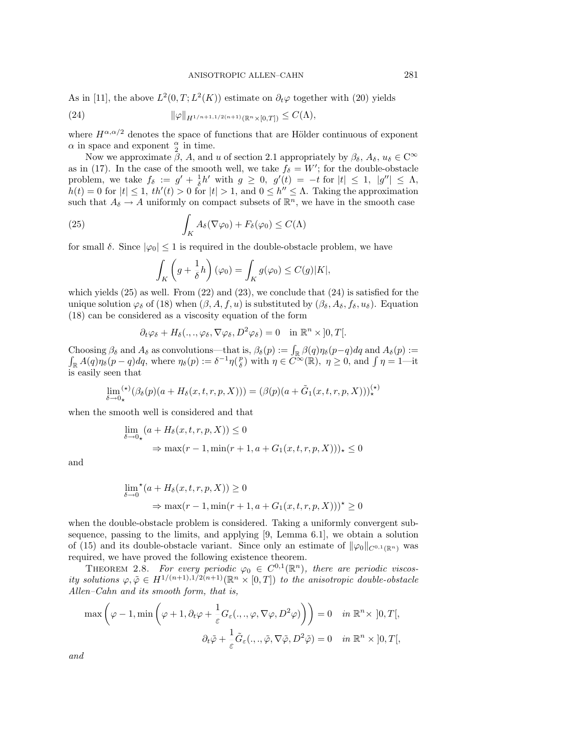As in [11], the above  $L^2(0,T;L^2(K))$  estimate on  $\partial_t\varphi$  together with (20) yields

(24) 
$$
\|\varphi\|_{H^{1/n+1,1/2(n+1)}(\mathbb{R}^n\times [0,T])}\leq C(\Lambda),
$$

where  $H^{\alpha,\alpha/2}$  denotes the space of functions that are Hölder continuous of exponent  $\alpha$  in space and exponent  $\frac{\alpha}{2}$  in time.

Now we approximate  $\beta$ , A, and u of section 2.1 appropriately by  $\beta_{\delta}$ ,  $A_{\delta}$ ,  $u_{\delta} \in \mathbb{C}^{\infty}$ as in (17). In the case of the smooth well, we take  $f_{\delta} = W'$ ; for the double-obstacle problem, we take  $f_{\delta} := g' + \frac{1}{\delta}h'$  with  $g \geq 0$ ,  $g'(t) = -t$  for  $|t| \leq 1$ ,  $|g''| \leq \Lambda$ ,  $h(t) = 0$  for  $|t| \leq 1$ ,  $th'(t) > 0$  for  $|t| > 1$ , and  $0 \leq h'' \leq \Lambda$ . Taking the approximation such that  $A_{\delta} \rightarrow A$  uniformly on compact subsets of  $\mathbb{R}^{n}$ , we have in the smooth case

(25) 
$$
\int_{K} A_{\delta}(\nabla \varphi_{0}) + F_{\delta}(\varphi_{0}) \leq C(\Lambda)
$$

for small  $\delta$ . Since  $|\varphi_0| \leq 1$  is required in the double-obstacle problem, we have

$$
\int_{K} \left( g + \frac{1}{\delta} h \right) (\varphi_0) = \int_{K} g(\varphi_0) \le C(g)|K|,
$$

which yields  $(25)$  as well. From  $(22)$  and  $(23)$ , we conclude that  $(24)$  is satisfied for the unique solution  $\varphi_{\delta}$  of (18) when  $(\beta, A, f, u)$  is substituted by  $(\beta_{\delta}, A_{\delta}, f_{\delta}, u_{\delta})$ . Equation (18) can be considered as a viscosity equation of the form

$$
\partial_t \varphi_\delta + H_\delta(.,.,\varphi_\delta, \nabla \varphi_\delta, D^2 \varphi_\delta) = 0 \quad \text{in } \mathbb{R}^n \times ]0,T[.
$$

Choosing  $\beta_{\delta}$  and  $A_{\delta}$  as convolutions—that is,  $\beta_{\delta}(p) := \int_{\mathbb{R}} \beta(q) \eta_{\delta}(p-q) dq$  and  $A_{\delta}(p) :=$  $\int_{\mathbb{R}} A(q)\eta_{\delta}(p-q)dq$ , where  $\eta_{\delta}(p) := \delta^{-1}\eta(\frac{p}{\delta})$  with  $\eta \in C^{\infty}(\mathbb{R})$ ,  $\eta \ge 0$ , and  $\int \eta = 1$ —it is easily seen that

$$
\lim_{\delta \to 0_*} ({}^{\star}) (\beta_{\delta}(p)(a + H_{\delta}(x, t, r, p, X))) = (\beta(p)(a + \tilde{G}_1(x, t, r, p, X)))_*^{(*)}
$$

when the smooth well is considered and that

$$
\lim_{\delta \to 0_{\star}} (a + H_{\delta}(x, t, r, p, X)) \le 0
$$
  
\n
$$
\Rightarrow \max(r - 1, \min(r + 1, a + G_1(x, t, r, p, X)))_{\star} \le 0
$$

and

$$
\lim_{\delta \to 0} {}^{\star} (a + H_{\delta}(x, t, r, p, X)) \ge 0
$$
  

$$
\Rightarrow \max(r - 1, \min(r + 1, a + G_1(x, t, r, p, X)))^{\star} \ge 0
$$

when the double-obstacle problem is considered. Taking a uniformly convergent subsequence, passing to the limits, and applying [9, Lemma 6.1], we obtain a solution of (15) and its double-obstacle variant. Since only an estimate of  $\|\varphi_0\|_{C^{0,1}(\mathbb{R}^n)}$  was required, we have proved the following existence theorem.

THEOREM 2.8. For every periodic  $\varphi_0 \in C^{0,1}(\mathbb{R}^n)$ , there are periodic viscosity solutions  $\varphi, \tilde{\varphi} \in H^{1/(n+1),1/2(n+1)}(\mathbb{R}^n \times [0,T])$  to the anisotropic double-obstacle Allen–Cahn and its smooth form, that is,

$$
\max\left(\varphi-1,\min\left(\varphi+1,\partial_t\varphi+\frac{1}{\varepsilon}G_\varepsilon(.,.,\varphi,\nabla\varphi,D^2\varphi)\right)\right)=0 \quad in \ \mathbb{R}^n\times]0,T[,
$$

$$
\partial_t\tilde{\varphi}+\frac{1}{\varepsilon}\tilde{G}_\varepsilon(.,.,\tilde{\varphi},\nabla\tilde{\varphi},D^2\tilde{\varphi})=0 \quad in \ \mathbb{R}^n\times]0,T[,
$$

and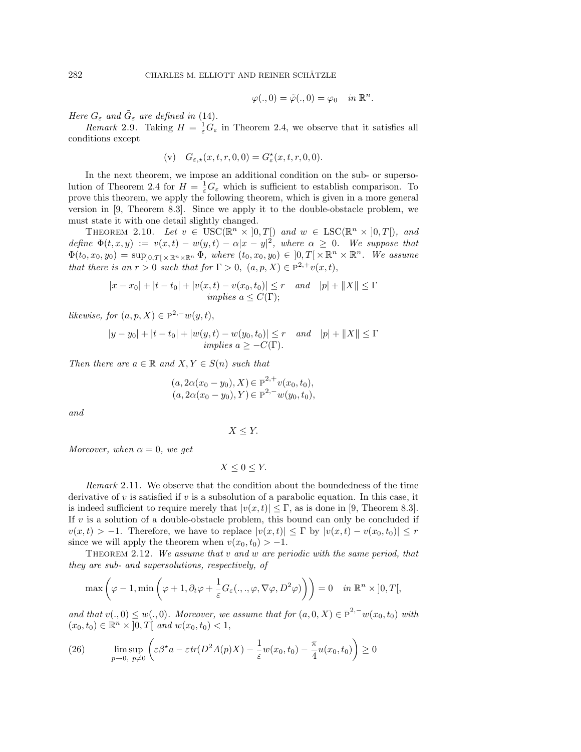$$
\varphi(.,0) = \tilde{\varphi}(.,0) = \varphi_0 \quad in \ \mathbb{R}^n.
$$

Here  $G_{\varepsilon}$  and  $\tilde{G}_{\varepsilon}$  are defined in (14).

*Remark* 2.9. Taking  $H = \frac{1}{\varepsilon}\dot{G}_{\varepsilon}$  in Theorem 2.4, we observe that it satisfies all conditions except

(v) 
$$
G_{\varepsilon,\star}(x,t,r,0,0) = G_{\varepsilon}^{\star}(x,t,r,0,0).
$$

In the next theorem, we impose an additional condition on the sub- or supersolution of Theorem 2.4 for  $H = \frac{1}{\varepsilon} G_{\varepsilon}$  which is sufficient to establish comparison. To prove this theorem, we apply the following theorem, which is given in a more general version in [9, Theorem 8.3]. Since we apply it to the double-obstacle problem, we must state it with one detail slightly changed.

THEOREM 2.10. Let  $v \in \text{USC}(\mathbb{R}^n \times [0,T])$  and  $w \in \text{LSC}(\mathbb{R}^n \times [0,T])$ , and define  $\Phi(t, x, y) := v(x, t) - w(y, t) - \alpha |x - y|^2$ , where  $\alpha \geq 0$ . We suppose that  $\Phi(t_0, x_0, y_0) = \sup_{[0,T] \times \mathbb{R}^n \times \mathbb{R}^n} \Phi$ , where  $(t_0, x_0, y_0) \in [0,T] \times \mathbb{R}^n \times \mathbb{R}^n$ . We assume that there is an  $r > 0$  such that for  $\Gamma > 0$ ,  $(a, p, X) \in P^{2,+}v(x,t)$ ,

$$
|x - x_0| + |t - t_0| + |v(x, t) - v(x_0, t_0)| \le r \quad and \quad |p| + ||X|| \le \Gamma
$$
  
*implies*  $a \le C(\Gamma);$ 

likewise, for  $(a, p, X) \in P^{2,-}w(y,t)$ ,

$$
|y - y_0| + |t - t_0| + |w(y, t) - w(y_0, t_0)| \le r
$$
 and  $|p| + ||X|| \le \Gamma$   
implies  $a \ge -C(\Gamma)$ .

Then there are  $a \in \mathbb{R}$  and  $X, Y \in S(n)$  such that

$$
(a, 2\alpha(x_0 - y_0), X) \in \overline{P}^{2,+}v(x_0, t_0),
$$
  

$$
(a, 2\alpha(x_0 - y_0), Y) \in \overline{P}^{2,-}w(y_0, t_0),
$$

and

$$
X \leq Y.
$$

Moreover, when  $\alpha = 0$ , we get

$$
X \le 0 \le Y.
$$

Remark 2.11. We observe that the condition about the boundedness of the time derivative of  $v$  is satisfied if  $v$  is a subsolution of a parabolic equation. In this case, it is indeed sufficient to require merely that  $|v(x, t)| \leq \Gamma$ , as is done in [9, Theorem 8.3]. If  $v$  is a solution of a double-obstacle problem, this bound can only be concluded if  $v(x, t) > -1$ . Therefore, we have to replace  $|v(x, t)| \leq \Gamma$  by  $|v(x, t) - v(x_0, t_0)| \leq r$ since we will apply the theorem when  $v(x_0, t_0) > -1$ .

THEOREM 2.12. We assume that  $v$  and  $w$  are periodic with the same period, that they are sub- and supersolutions, respectively, of

$$
\max\left(\varphi-1,\min\left(\varphi+1,\partial_t\varphi+\frac{1}{\varepsilon}G_\varepsilon(.,.,\varphi,\nabla\varphi,D^2\varphi)\right)\right)=0 \quad \text{in } \mathbb{R}^n \times ]0,T[,
$$

and that  $v(., 0) \leq w(., 0)$ . Moreover, we assume that for  $(a, 0, X) \in \overline{P}^{2,-}w(x_0, t_0)$  with  $(x_0, t_0) \in \mathbb{R}^n \times ]0, T[$  and  $w(x_0, t_0) < 1$ ,

(26) 
$$
\limsup_{p \to 0, p \neq 0} \left( \varepsilon \beta^* a - \varepsilon tr(D^2 A(p) X) - \frac{1}{\varepsilon} w(x_0, t_0) - \frac{\pi}{4} u(x_0, t_0) \right) \ge 0
$$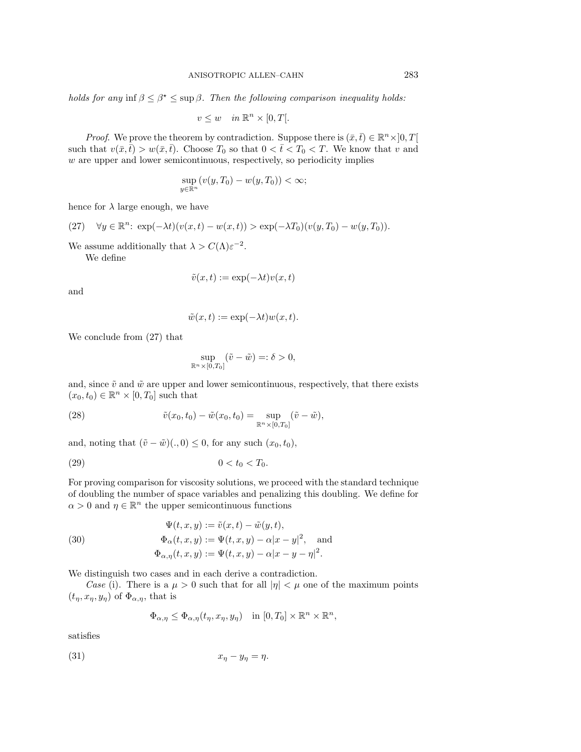holds for any inf  $\beta \leq \beta^* \leq \sup \beta$ . Then the following comparison inequality holds:

$$
v \le w \quad in \ \mathbb{R}^n \times [0, T[.
$$

*Proof.* We prove the theorem by contradiction. Suppose there is  $(\bar{x}, \bar{t}) \in \mathbb{R}^n \times ]0, T[$ such that  $v(\bar{x}, \bar{t}) > w(\bar{x}, \bar{t})$ . Choose  $T_0$  so that  $0 < \bar{t} < T_0 < T$ . We know that v and  $w$  are upper and lower semicontinuous, respectively, so periodicity implies

$$
\sup_{y \in \mathbb{R}^n} (v(y, T_0) - w(y, T_0)) < \infty;
$$

hence for  $\lambda$  large enough, we have

(27) 
$$
\forall y \in \mathbb{R}^n
$$
:  $\exp(-\lambda t)(v(x,t) - w(x,t)) > \exp(-\lambda T_0)(v(y,T_0) - w(y,T_0))$ .

We assume additionally that  $\lambda > C(\Lambda) \varepsilon^{-2}$ .

We define

$$
\tilde{v}(x,t) := \exp(-\lambda t)v(x,t)
$$

and

$$
\tilde{w}(x,t) := \exp(-\lambda t)w(x,t).
$$

We conclude from (27) that

$$
\sup_{\mathbb{R}^n \times [0,T_0]} (\tilde{v} - \tilde{w}) =: \delta > 0,
$$

and, since  $\tilde{v}$  and  $\tilde{w}$  are upper and lower semicontinuous, respectively, that there exists  $(x_0, t_0) \in \mathbb{R}^n \times [0, T_0]$  such that

(28) 
$$
\tilde{v}(x_0, t_0) - \tilde{w}(x_0, t_0) = \sup_{\mathbb{R}^n \times [0, T_0]} (\tilde{v} - \tilde{w}),
$$

and, noting that  $(\tilde{v} - \tilde{w})(., 0) \leq 0$ , for any such  $(x_0, t_0)$ ,

(29) 
$$
0 < t_0 < T_0.
$$

For proving comparison for viscosity solutions, we proceed with the standard technique of doubling the number of space variables and penalizing this doubling. We define for  $\alpha > 0$  and  $\eta \in \mathbb{R}^n$  the upper semicontinuous functions

(30) 
$$
\Psi(t, x, y) := \tilde{v}(x, t) - \tilde{w}(y, t),
$$

$$
\Phi_{\alpha}(t, x, y) := \Psi(t, x, y) - \alpha |x - y|^2, \text{ and}
$$

$$
\Phi_{\alpha, \eta}(t, x, y) := \Psi(t, x, y) - \alpha |x - y - \eta|^2.
$$

We distinguish two cases and in each derive a contradiction.

*Case* (i). There is a  $\mu > 0$  such that for all  $|\eta| < \mu$  one of the maximum points  $(t_{\eta}, x_{\eta}, y_{\eta})$  of  $\Phi_{\alpha, \eta}$ , that is

$$
\Phi_{\alpha,\eta} \le \Phi_{\alpha,\eta}(t_{\eta},x_{\eta},y_{\eta}) \quad \text{in } [0,T_0] \times \mathbb{R}^n \times \mathbb{R}^n,
$$

satisfies

$$
(31) \t\t\t x_{\eta} - y_{\eta} = \eta.
$$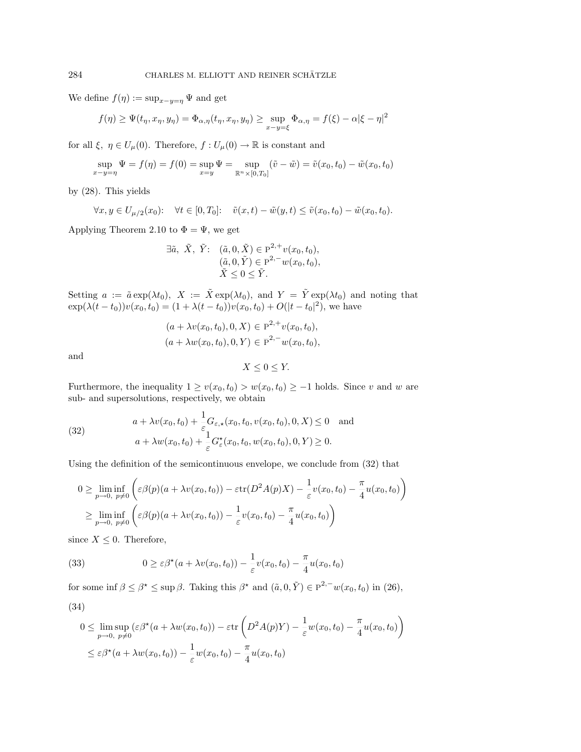We define  $f(\eta) := \sup_{x-y=\eta} \Psi$  and get

$$
f(\eta) \ge \Psi(t_{\eta}, x_{\eta}, y_{\eta}) = \Phi_{\alpha, \eta}(t_{\eta}, x_{\eta}, y_{\eta}) \ge \sup_{x-y=\xi} \Phi_{\alpha, \eta} = f(\xi) - \alpha |\xi - \eta|^2
$$

for all  $\xi, \eta \in U_{\mu}(0)$ . Therefore,  $f: U_{\mu}(0) \to \mathbb{R}$  is constant and

$$
\sup_{x-y=\eta} \Psi = f(\eta) = f(0) = \sup_{x=y} \Psi = \sup_{\mathbb{R}^n \times [0,T_0]} (\tilde{v} - \tilde{w}) = \tilde{v}(x_0, t_0) - \tilde{w}(x_0, t_0)
$$

by (28). This yields

$$
\forall x, y \in U_{\mu/2}(x_0): \quad \forall t \in [0, T_0]: \quad \tilde{v}(x, t) - \tilde{w}(y, t) \le \tilde{v}(x_0, t_0) - \tilde{w}(x_0, t_0).
$$

Applying Theorem 2.10 to  $\Phi = \Psi$ , we get

$$
\exists \tilde{a}, \ \tilde{X}, \ \tilde{Y}: \ \ (\tilde{a}, 0, \tilde{X}) \in \overline{\mathbb{P}}^{2,+} v(x_0, t_0),
$$
  
\n
$$
(\tilde{a}, 0, \tilde{Y}) \in \overline{\mathbb{P}}^{2,-} w(x_0, t_0),
$$
  
\n
$$
\tilde{X} \leq 0 \leq \tilde{Y}.
$$

Setting  $a := \tilde{a} \exp(\lambda t_0)$ ,  $X := \tilde{X} \exp(\lambda t_0)$ , and  $Y = \tilde{Y} \exp(\lambda t_0)$  and noting that  $\exp(\lambda(t - t_0))v(x_0, t_0) = (1 + \lambda(t - t_0))v(x_0, t_0) + O(|t - t_0|^2)$ , we have

$$
(a + \lambda v(x_0, t_0), 0, X) \in \overline{P}^{2,+}v(x_0, t_0),
$$
  

$$
(a + \lambda w(x_0, t_0), 0, Y) \in \overline{P}^{2,-}w(x_0, t_0),
$$

and

$$
X \le 0 \le Y.
$$

Furthermore, the inequality  $1 \ge v(x_0, t_0) > w(x_0, t_0) \ge -1$  holds. Since v and w are sub- and supersolutions, respectively, we obtain

(32) 
$$
a + \lambda v(x_0, t_0) + \frac{1}{\varepsilon} G_{\varepsilon, \star}(x_0, t_0, v(x_0, t_0), 0, X) \le 0 \text{ and}
$$

$$
a + \lambda w(x_0, t_0) + \frac{1}{\varepsilon} G_{\varepsilon}^{\star}(x_0, t_0, w(x_0, t_0), 0, Y) \ge 0.
$$

Using the definition of the semicontinuous envelope, we conclude from (32) that

$$
0 \geq \liminf_{p \to 0, p \neq 0} \left( \varepsilon \beta(p)(a + \lambda v(x_0, t_0)) - \varepsilon \text{tr}(D^2 A(p)X) - \frac{1}{\varepsilon} v(x_0, t_0) - \frac{\pi}{4} u(x_0, t_0) \right)
$$
  

$$
\geq \liminf_{p \to 0, p \neq 0} \left( \varepsilon \beta(p)(a + \lambda v(x_0, t_0)) - \frac{1}{\varepsilon} v(x_0, t_0) - \frac{\pi}{4} u(x_0, t_0) \right)
$$

since  $X \leq 0$ . Therefore,

(33) 
$$
0 \geq \varepsilon \beta^*(a + \lambda v(x_0, t_0)) - \frac{1}{\varepsilon} v(x_0, t_0) - \frac{\pi}{4} u(x_0, t_0)
$$

for some inf  $\beta \leq \beta^* \leq \sup \beta$ . Taking this  $\beta^*$  and  $(\tilde{a}, 0, \tilde{Y}) \in \overline{P}^{2,-}w(x_0, t_0)$  in (26),

$$
(34)
$$

$$
0 \leq \limsup_{p \to 0, p \neq 0} (\varepsilon \beta^*(a + \lambda w(x_0, t_0)) - \varepsilon \text{tr} \left( D^2 A(p) Y) - \frac{1}{\varepsilon} w(x_0, t_0) - \frac{\pi}{4} u(x_0, t_0) \right)
$$
  

$$
\leq \varepsilon \beta^*(a + \lambda w(x_0, t_0)) - \frac{1}{\varepsilon} w(x_0, t_0) - \frac{\pi}{4} u(x_0, t_0)
$$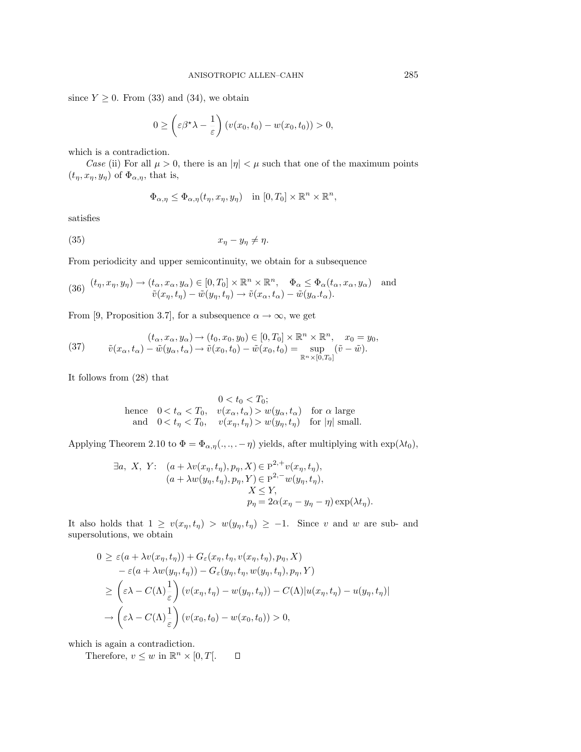since  $Y \geq 0$ . From (33) and (34), we obtain

$$
0 \geq \left(\varepsilon \beta^* \lambda - \frac{1}{\varepsilon}\right) \left(v(x_0, t_0) - w(x_0, t_0)\right) > 0,
$$

which is a contradiction.

Case (ii) For all  $\mu > 0$ , there is an  $|\eta| < \mu$  such that one of the maximum points  $(t_{\eta}, x_{\eta}, y_{\eta})$  of  $\Phi_{\alpha, \eta}$ , that is,

$$
\Phi_{\alpha,\eta} \le \Phi_{\alpha,\eta}(t_{\eta},x_{\eta},y_{\eta}) \quad \text{in } [0,T_0] \times \mathbb{R}^n \times \mathbb{R}^n,
$$

satisfies

$$
(35) \t\t\t x_{\eta} - y_{\eta} \neq \eta.
$$

From periodicity and upper semicontinuity, we obtain for a subsequence

(36) 
$$
(t_{\eta}, x_{\eta}, y_{\eta}) \to (t_{\alpha}, x_{\alpha}, y_{\alpha}) \in [0, T_0] \times \mathbb{R}^n \times \mathbb{R}^n
$$
,  $\Phi_{\alpha} \leq \Phi_{\alpha}(t_{\alpha}, x_{\alpha}, y_{\alpha})$  and  $\tilde{v}(x_{\eta}, t_{\eta}) - \tilde{w}(y_{\eta}, t_{\eta}) \to \tilde{v}(x_{\alpha}, t_{\alpha}) - \tilde{w}(y_{\alpha}, t_{\alpha}).$ 

From [9, Proposition 3.7], for a subsequence  $\alpha \to \infty$ , we get

(37) 
$$
(t_{\alpha}, x_{\alpha}, y_{\alpha}) \rightarrow (t_0, x_0, y_0) \in [0, T_0] \times \mathbb{R}^n \times \mathbb{R}^n, \quad x_0 = y_0,
$$

$$
\tilde{v}(x_{\alpha}, t_{\alpha}) - \tilde{w}(y_{\alpha}, t_{\alpha}) \rightarrow \tilde{v}(x_0, t_0) - \tilde{w}(x_0, t_0) = \sup_{\mathbb{R}^n \times [0, T_0]} (\tilde{v} - \tilde{w}).
$$

It follows from (28) that

$$
0 < t_0 < T_0;
$$
\nhence  $0 < t_\alpha < T_0$ ,  $v(x_\alpha, t_\alpha) > w(y_\alpha, t_\alpha)$  for  $\alpha$  large and  $0 < t_\eta < T_0$ ,  $v(x_\eta, t_\eta) > w(y_\eta, t_\eta)$  for  $|\eta|$  small.

Applying Theorem 2.10 to  $\Phi = \Phi_{\alpha,\eta}(\ldots, -\eta)$  yields, after multiplying with  $\exp(\lambda t_0)$ ,

$$
\exists a, X, Y: \quad (a + \lambda v(x_{\eta}, t_{\eta}), p_{\eta}, X) \in \overline{P}^{2,+}v(x_{\eta}, t_{\eta}),
$$
  
\n
$$
(a + \lambda w(y_{\eta}, t_{\eta}), p_{\eta}, Y) \in \overline{P}^{2,-}w(y_{\eta}, t_{\eta}),
$$
  
\n
$$
X \leq Y,
$$
  
\n
$$
p_{\eta} = 2\alpha(x_{\eta} - y_{\eta} - \eta) \exp(\lambda t_{\eta}).
$$

It also holds that  $1 ≥ v(x<sub>η</sub>, t<sub>η</sub>) > w(y<sub>η</sub>, t<sub>η</sub>) ≥ -1$ . Since v and w are sub- and supersolutions, we obtain

$$
0 \geq \varepsilon (a + \lambda v(x_{\eta}, t_{\eta})) + G_{\varepsilon}(x_{\eta}, t_{\eta}, v(x_{\eta}, t_{\eta}), p_{\eta}, X)
$$
  
\n
$$
- \varepsilon (a + \lambda w(y_{\eta}, t_{\eta})) - G_{\varepsilon}(y_{\eta}, t_{\eta}, w(y_{\eta}, t_{\eta}), p_{\eta}, Y)
$$
  
\n
$$
\geq \left(\varepsilon \lambda - C(\Lambda) \frac{1}{\varepsilon}\right) (v(x_{\eta}, t_{\eta}) - w(y_{\eta}, t_{\eta})) - C(\Lambda) |u(x_{\eta}, t_{\eta}) - u(y_{\eta}, t_{\eta})|
$$
  
\n
$$
\to \left(\varepsilon \lambda - C(\Lambda) \frac{1}{\varepsilon}\right) (v(x_{0}, t_{0}) - w(x_{0}, t_{0})) > 0,
$$

which is again a contradiction.

Therefore,  $v \leq w$  in  $\mathbb{R}^n \times [0, T]$ .  $\Box$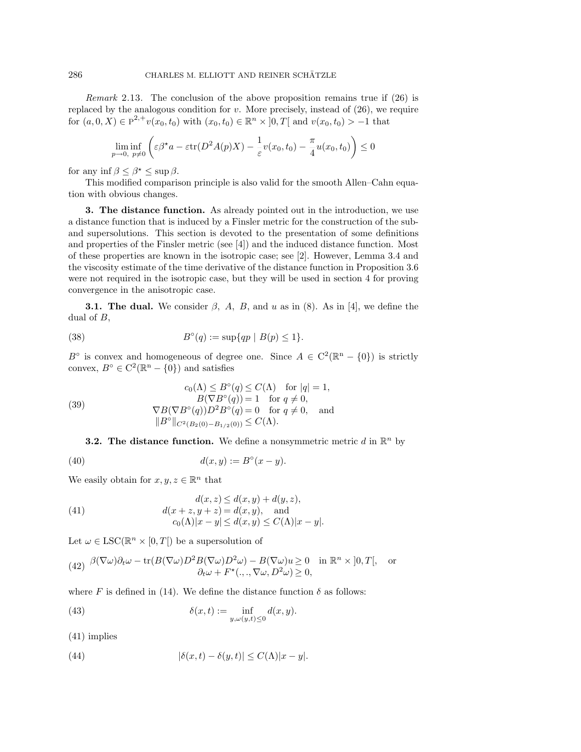Remark 2.13. The conclusion of the above proposition remains true if (26) is replaced by the analogous condition for  $v$ . More precisely, instead of  $(26)$ , we require for  $(a, 0, X) \in \overline{P}^{2,+}v(x_0, t_0)$  with  $(x_0, t_0) \in \mathbb{R}^n \times [0, T]$  and  $v(x_0, t_0) > -1$  that

$$
\liminf_{p \to 0, p \neq 0} \left( \varepsilon \beta^* a - \varepsilon \text{tr}(D^2 A(p) X) - \frac{1}{\varepsilon} v(x_0, t_0) - \frac{\pi}{4} u(x_0, t_0) \right) \le 0
$$

for any inf  $\beta \leq \beta^* \leq \sup \beta$ .

This modified comparison principle is also valid for the smooth Allen–Cahn equation with obvious changes.

**3. The distance function.** As already pointed out in the introduction, we use a distance function that is induced by a Finsler metric for the construction of the suband supersolutions. This section is devoted to the presentation of some definitions and properties of the Finsler metric (see [4]) and the induced distance function. Most of these properties are known in the isotropic case; see [2]. However, Lemma 3.4 and the viscosity estimate of the time derivative of the distance function in Proposition 3.6 were not required in the isotropic case, but they will be used in section 4 for proving convergence in the anisotropic case.

**3.1. The dual.** We consider  $\beta$ , A, B, and u as in (8). As in [4], we define the dual of  $B$ ,

(38) 
$$
B^{\circ}(q) := \sup \{ qp \mid B(p) \leq 1 \}.
$$

B<sup>°</sup> is convex and homogeneous of degree one. Since  $A \in C^2(\mathbb{R}^n - \{0\})$  is strictly convex,  $B^{\circ} \in C^2(\mathbb{R}^n - \{0\})$  and satisfies

(39) 
$$
c_0(\Lambda) \le B^\circ(q) \le C(\Lambda) \text{ for } |q| = 1,
$$

$$
B(\nabla B^\circ(q)) = 1 \text{ for } q \ne 0,
$$

$$
\nabla B(\nabla B^\circ(q))D^2B^\circ(q) = 0 \text{ for } q \ne 0, \text{ and}
$$

$$
||B^\circ||_{C^2(B_2(0) - B_{1/2}(0))} \le C(\Lambda).
$$

**3.2. The distance function.** We define a nonsymmetric metric d in  $\mathbb{R}^n$  by

$$
(40) \t d(x,y) := B^{\circ}(x-y).
$$

We easily obtain for  $x, y, z \in \mathbb{R}^n$  that

(41) 
$$
d(x, z) \le d(x, y) + d(y, z),
$$

$$
d(x + z, y + z) = d(x, y), \text{ and}
$$

$$
c_0(\Lambda)|x - y| \le d(x, y) \le C(\Lambda)|x - y|.
$$

Let  $\omega \in \text{LSC}(\mathbb{R}^n \times [0,T])$  be a supersolution of

(42) 
$$
\frac{\beta(\nabla\omega)\partial_t\omega - \text{tr}(B(\nabla\omega)D^2B(\nabla\omega)D^2\omega) - B(\nabla\omega)u \ge 0 \text{ in } \mathbb{R}^n \times [0,T[, \text{ or } \partial_t\omega + F^*(., ., \nabla\omega, D^2\omega) \ge 0,
$$

where F is defined in (14). We define the distance function  $\delta$  as follows:

(43) 
$$
\delta(x,t) := \inf_{y,\omega(y,t) \leq 0} d(x,y).
$$

(41) implies

(44) 
$$
|\delta(x,t) - \delta(y,t)| \leq C(\Lambda)|x-y|.
$$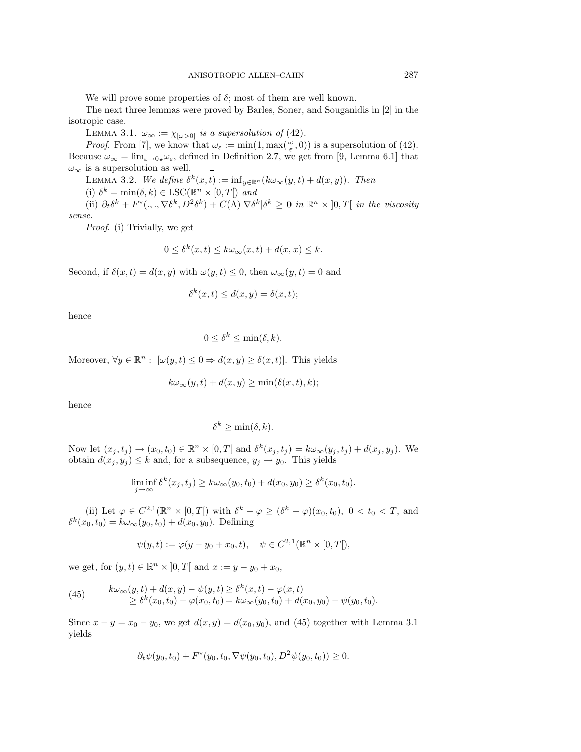We will prove some properties of  $\delta$ ; most of them are well known.

The next three lemmas were proved by Barles, Soner, and Souganidis in [2] in the isotropic case.

LEMMA 3.1.  $\omega_{\infty} := \chi_{\{\omega > 0\}}$  is a supersolution of (42).

*Proof.* From [7], we know that  $\omega_{\varepsilon} := \min(1, \max(\frac{\omega}{\varepsilon}, 0))$  is a supersolution of (42). Because  $\omega_{\infty} = \lim_{\varepsilon \to 0} \omega_{\varepsilon}$ , defined in Definition 2.7, we get from [9, Lemma 6.1] that  $\omega_{\infty}$  is a supersolution as well.  $\square$  $\omega_{\infty}$  is a supersolution as well.

LEMMA 3.2. We define  $\delta^k(x,t) := \inf_{y \in \mathbb{R}^n} (k\omega_\infty(y,t) + d(x,y))$ . Then

(i)  $\delta^k = \min(\delta, k) \in \text{LSC}(\mathbb{R}^n \times [0, T])$  and

(ii)  $\partial_t \delta^k + F^*(., ., \nabla \delta^k, D^2 \delta^k) + C(\Lambda) |\nabla \delta^k| \delta^k \geq 0$  in  $\mathbb{R}^n \times [0, T]$  in the viscosity sense.

Proof. (i) Trivially, we get

$$
0 \le \delta^k(x, t) \le k\omega_\infty(x, t) + d(x, x) \le k.
$$

Second, if  $\delta(x, t) = d(x, y)$  with  $\omega(y, t) \leq 0$ , then  $\omega_{\infty}(y, t) = 0$  and

$$
\delta^k(x,t) \le d(x,y) = \delta(x,t);
$$

hence

$$
0 \le \delta^k \le \min(\delta, k).
$$

Moreover,  $\forall y \in \mathbb{R}^n : [\omega(y, t) \leq 0 \Rightarrow d(x, y) \geq \delta(x, t)].$  This yields

$$
k\omega_{\infty}(y,t) + d(x,y) \ge \min(\delta(x,t),k);
$$

hence

$$
\delta^k \ge \min(\delta, k).
$$

Now let  $(x_j, t_j) \to (x_0, t_0) \in \mathbb{R}^n \times [0, T[$  and  $\delta^k(x_j, t_j) = k\omega_\infty(y_j, t_j) + d(x_j, y_j)$ . We obtain  $d(x_i, y_i) \leq k$  and, for a subsequence,  $y_i \rightarrow y_0$ . This yields

$$
\liminf_{j \to \infty} \delta^k(x_j, t_j) \ge k \omega_{\infty}(y_0, t_0) + d(x_0, y_0) \ge \delta^k(x_0, t_0).
$$

(ii) Let  $\varphi \in C^{2,1}(\mathbb{R}^n \times [0,T])$  with  $\delta^k - \varphi \geq (\delta^k - \varphi)(x_0, t_0), 0 < t_0 < T$ , and  $\delta^k(x_0, t_0) = k\omega_\infty(y_0, t_0) + d(x_0, y_0)$ . Defining

$$
\psi(y,t) := \varphi(y - y_0 + x_0, t), \quad \psi \in C^{2,1}(\mathbb{R}^n \times [0, T]),
$$

we get, for  $(y, t) \in \mathbb{R}^n \times ]0, T[$  and  $x := y - y_0 + x_0$ ,

(45) 
$$
k\omega_{\infty}(y,t) + d(x,y) - \psi(y,t) \geq \delta^{k}(x,t) - \varphi(x,t) \geq \delta^{k}(x_{0},t_{0}) - \varphi(x_{0},t_{0}) = k\omega_{\infty}(y_{0},t_{0}) + d(x_{0},y_{0}) - \psi(y_{0},t_{0}).
$$

Since  $x - y = x_0 - y_0$ , we get  $d(x, y) = d(x_0, y_0)$ , and (45) together with Lemma 3.1 yields

$$
\partial_t \psi(y_0, t_0) + F^*(y_0, t_0, \nabla \psi(y_0, t_0), D^2 \psi(y_0, t_0)) \ge 0.
$$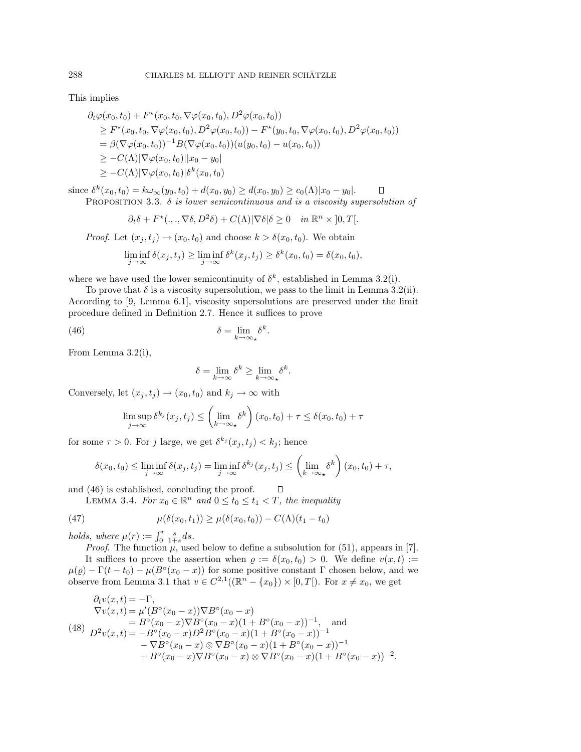This implies

$$
\partial_t \varphi(x_0, t_0) + F^*(x_0, t_0, \nabla \varphi(x_0, t_0), D^2 \varphi(x_0, t_0))
$$
\n
$$
\geq F^*(x_0, t_0, \nabla \varphi(x_0, t_0), D^2 \varphi(x_0, t_0)) - F^*(y_0, t_0, \nabla \varphi(x_0, t_0), D^2 \varphi(x_0, t_0))
$$
\n
$$
= \beta(\nabla \varphi(x_0, t_0))^{-1} B(\nabla \varphi(x_0, t_0)) (u(y_0, t_0) - u(x_0, t_0))
$$
\n
$$
\geq -C(\Lambda) |\nabla \varphi(x_0, t_0)| |x_0 - y_0|
$$
\n
$$
\geq -C(\Lambda) |\nabla \varphi(x_0, t_0)| \delta^k(x_0, t_0)
$$

since  $\delta^{k}(x_0, t_0) = k\omega_{\infty}(y_0, t_0) + d(x_0, y_0) \geq d(x_0, y_0) \geq c_0(\Lambda)|x_0 - y_0|$ .  $\Box$ PROPOSITION 3.3.  $\delta$  is lower semicontinuous and is a viscosity supersolution of

$$
\partial_t \delta + F^*(., ., \nabla \delta, D^2 \delta) + C(\Lambda) |\nabla \delta| \delta \ge 0 \quad in \ \mathbb{R}^n \times ]0, T[.
$$

*Proof.* Let  $(x_j, t_j) \rightarrow (x_0, t_0)$  and choose  $k > \delta(x_0, t_0)$ . We obtain

$$
\liminf_{j \to \infty} \delta(x_j, t_j) \ge \liminf_{j \to \infty} \delta^k(x_j, t_j) \ge \delta^k(x_0, t_0) = \delta(x_0, t_0),
$$

where we have used the lower semicontinuity of  $\delta^k$ , established in Lemma 3.2(i).

To prove that  $\delta$  is a viscosity supersolution, we pass to the limit in Lemma 3.2(ii). According to [9, Lemma 6.1], viscosity supersolutions are preserved under the limit procedure defined in Definition 2.7. Hence it suffices to prove

(46) 
$$
\delta = \lim_{k \to \infty} \delta^k.
$$

From Lemma 3.2(i),

$$
\delta = \lim_{k \to \infty} \delta^k \ge \lim_{k \to \infty} \delta^k.
$$

Conversely, let  $(x_j, t_j) \rightarrow (x_0, t_0)$  and  $k_j \rightarrow \infty$  with

$$
\limsup_{j \to \infty} \delta^{k_j}(x_j, t_j) \le \left(\lim_{k \to \infty} \delta^k\right)(x_0, t_0) + \tau \le \delta(x_0, t_0) + \tau
$$

for some  $\tau > 0$ . For j large, we get  $\delta^{k_j}(x_j, t_j) < k_j$ ; hence

$$
\delta(x_0, t_0) \le \liminf_{j \to \infty} \delta(x_j, t_j) = \liminf_{j \to \infty} \delta^{k_j}(x_j, t_j) \le \left(\lim_{k \to \infty} \delta^k\right)(x_0, t_0) + \tau,
$$

 $\Box$ 

and (46) is established, concluding the proof.

LEMMA 3.4. For  $x_0 \in \mathbb{R}^n$  and  $0 \le t_0 \le t_1 < T$ , the inequality

(47) 
$$
\mu(\delta(x_0, t_1)) \ge \mu(\delta(x_0, t_0)) - C(\Lambda)(t_1 - t_0)
$$

holds, where  $\mu(r) := \int_0^r \frac{s}{1+s} ds$ .

*Proof.* The function  $\mu$ , used below to define a subsolution for (51), appears in [7]. It suffices to prove the assertion when  $\varrho := \delta(x_0, t_0) > 0$ . We define  $v(x, t) :=$  $\mu(\varrho) - \Gamma(t - t_0) - \mu(B^{\circ}(x_0 - x))$  for some positive constant  $\Gamma$  chosen below, and we observe from Lemma 3.1 that  $v \in C^{2,1}((\mathbb{R}^n - \{x_0\}) \times [0,T])$ . For  $x \neq x_0$ , we get

$$
\partial_t v(x,t) = -\Gamma,
$$
\n
$$
\nabla v(x,t) = \mu'(B^{\circ}(x_0 - x))\nabla B^{\circ}(x_0 - x)
$$
\n
$$
= B^{\circ}(x_0 - x)\nabla B^{\circ}(x_0 - x)(1 + B^{\circ}(x_0 - x))^{-1},
$$
 and\n
$$
D^2 v(x,t) = -B^{\circ}(x_0 - x)D^2 B^{\circ}(x_0 - x)(1 + B^{\circ}(x_0 - x))^{-1}
$$
\n
$$
- \nabla B^{\circ}(x_0 - x) \otimes \nabla B^{\circ}(x_0 - x)(1 + B^{\circ}(x_0 - x))^{-1}
$$
\n
$$
+ B^{\circ}(x_0 - x)\nabla B^{\circ}(x_0 - x) \otimes \nabla B^{\circ}(x_0 - x)(1 + B^{\circ}(x_0 - x))^{-2}.
$$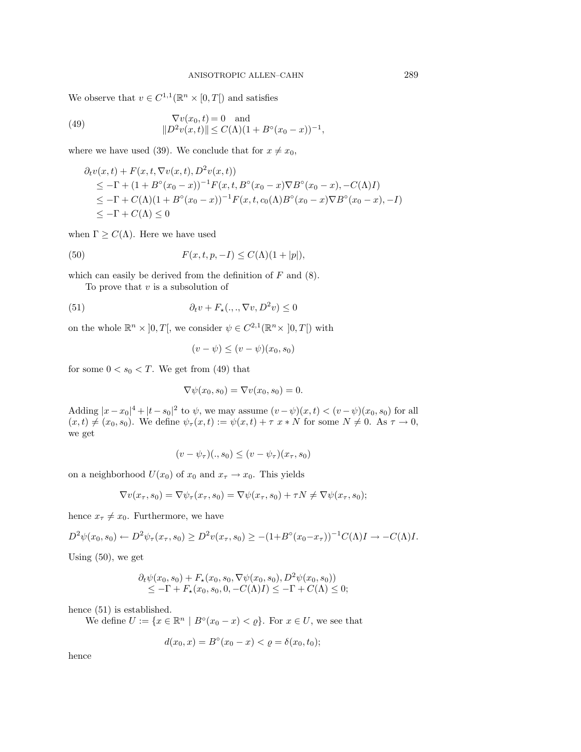We observe that  $v \in C^{1,1}(\mathbb{R}^n \times [0,T])$  and satisfies

(49) 
$$
\nabla v(x_0, t) = 0 \text{ and}
$$

$$
||D^2 v(x, t)|| \le C(\Lambda)(1 + B^\circ (x_0 - x))^{-1},
$$

where we have used (39). We conclude that for  $x \neq x_0$ ,

$$
\partial_t v(x,t) + F(x,t,\nabla v(x,t),D^2 v(x,t))
$$
  
\n
$$
\leq -\Gamma + (1 + B^{\circ}(x_0 - x))^{-1} F(x,t,B^{\circ}(x_0 - x) \nabla B^{\circ}(x_0 - x), -C(\Lambda)I)
$$
  
\n
$$
\leq -\Gamma + C(\Lambda)(1 + B^{\circ}(x_0 - x))^{-1} F(x,t,c_0(\Lambda)B^{\circ}(x_0 - x) \nabla B^{\circ}(x_0 - x), -I)
$$
  
\n
$$
\leq -\Gamma + C(\Lambda) \leq 0
$$

when  $\Gamma \geq C(\Lambda)$ . Here we have used

(50) 
$$
F(x,t,p,-I) \leq C(\Lambda)(1+|p|),
$$

which can easily be derived from the definition of  $F$  and  $(8)$ .

To prove that  $v$  is a subsolution of

(51) 
$$
\partial_t v + F_{\star}(.,.,\nabla v, D^2 v) \leq 0
$$

on the whole  $\mathbb{R}^n \times [0,T]$ , we consider  $\psi \in C^{2,1}(\mathbb{R}^n \times [0,T])$  with

$$
(v - \psi) \le (v - \psi)(x_0, s_0)
$$

for some  $0 < s_0 < T$ . We get from (49) that

$$
\nabla \psi(x_0, s_0) = \nabla v(x_0, s_0) = 0.
$$

Adding  $|x-x_0|^4 + |t-s_0|^2$  to  $\psi$ , we may assume  $(v-\psi)(x,t) < (v-\psi)(x_0, s_0)$  for all  $(x, t) \neq (x_0, s_0)$ . We define  $\psi_\tau(x, t) := \psi(x, t) + \tau x * N$  for some  $N \neq 0$ . As  $\tau \to 0$ , we get

$$
(v - \psi_{\tau})(., s_0) \le (v - \psi_{\tau})(x_{\tau}, s_0)
$$

on a neighborhood  $U(x_0)$  of  $x_0$  and  $x_\tau \to x_0$ . This yields

$$
\nabla v(x_\tau, s_0) = \nabla \psi_\tau(x_\tau, s_0) = \nabla \psi(x_\tau, s_0) + \tau N \neq \nabla \psi(x_\tau, s_0);
$$

hence  $x_{\tau} \neq x_0$ . Furthermore, we have

$$
D^{2}\psi(x_{0}, s_{0}) \leftarrow D^{2}\psi_{\tau}(x_{\tau}, s_{0}) \geq D^{2}v(x_{\tau}, s_{0}) \geq -(1+B^{\circ}(x_{0}-x_{\tau}))^{-1}C(\Lambda)I \rightarrow -C(\Lambda)I.
$$

Using (50), we get

$$
\partial_t \psi(x_0, s_0) + F_{\star}(x_0, s_0, \nabla \psi(x_0, s_0), D^2 \psi(x_0, s_0))
$$
  
\n
$$
\leq -\Gamma + F_{\star}(x_0, s_0, 0, -C(\Lambda)I) \leq -\Gamma + C(\Lambda) \leq 0;
$$

hence (51) is established.

We define  $U := \{x \in \mathbb{R}^n \mid B^\circ(x_0 - x) < \varrho\}$ . For  $x \in U$ , we see that

$$
d(x_0, x) = B^{\circ}(x_0 - x) < \varrho = \delta(x_0, t_0);
$$

hence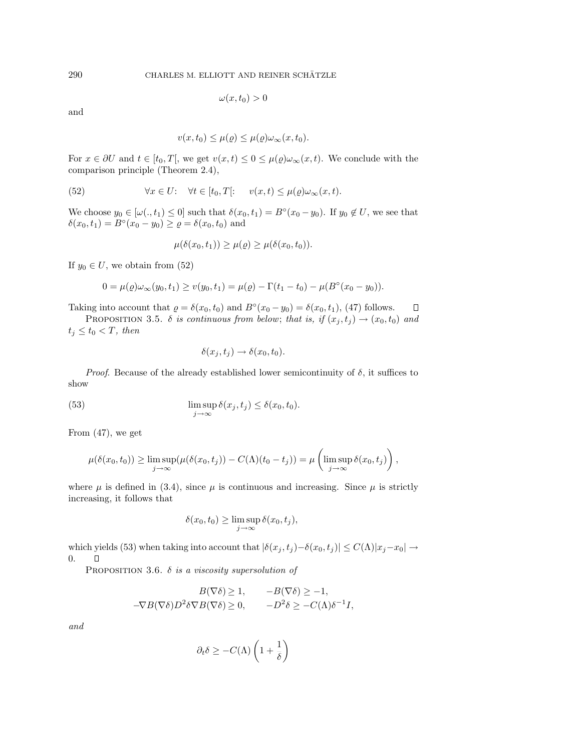$$
\omega(x,t_0)>0
$$

and

$$
v(x,t_0) \leq \mu(\varrho) \leq \mu(\varrho)\omega_\infty(x,t_0).
$$

For  $x \in \partial U$  and  $t \in [t_0, T]$ , we get  $v(x, t) \leq 0 \leq \mu(\varrho) \omega_\infty(x, t)$ . We conclude with the comparison principle (Theorem 2.4),

(52) 
$$
\forall x \in U: \quad \forall t \in [t_0, T[: \quad v(x, t) \leq \mu(\varrho) \omega_{\infty}(x, t).
$$

We choose  $y_0 \in [\omega(., t_1) \leq 0]$  such that  $\delta(x_0, t_1) = B^\circ(x_0 - y_0)$ . If  $y_0 \notin U$ , we see that  $\delta(x_0, t_1) = B\circ(x_0 - y_0) \ge \varrho = \delta(x_0, t_0)$  and

$$
\mu(\delta(x_0,t_1)) \geq \mu(\varrho) \geq \mu(\delta(x_0,t_0)).
$$

If  $y_0 \in U$ , we obtain from (52)

$$
0 = \mu(\varrho)\omega_{\infty}(y_0, t_1) \ge v(y_0, t_1) = \mu(\varrho) - \Gamma(t_1 - t_0) - \mu(B^{\circ}(x_0 - y_0)).
$$

Taking into account that  $\varrho = \delta(x_0, t_0)$  and  $B^\circ(x_0 - y_0) = \delta(x_0, t_1)$ , (47) follows.  $\Box$ 

PROPOSITION 3.5.  $\delta$  is continuous from below; that is, if  $(x_j, t_j) \rightarrow (x_0, t_0)$  and  $t_i \le t_0 < T$ , then

$$
\delta(x_j, t_j) \to \delta(x_0, t_0).
$$

*Proof.* Because of the already established lower semicontinuity of  $\delta$ , it suffices to show

(53) 
$$
\limsup_{j \to \infty} \delta(x_j, t_j) \leq \delta(x_0, t_0).
$$

From (47), we get

$$
\mu(\delta(x_0,t_0)) \ge \limsup_{j \to \infty} (\mu(\delta(x_0,t_j)) - C(\Lambda)(t_0-t_j)) = \mu\left(\limsup_{j \to \infty} \delta(x_0,t_j)\right),
$$

where  $\mu$  is defined in (3.4), since  $\mu$  is continuous and increasing. Since  $\mu$  is strictly increasing, it follows that

$$
\delta(x_0, t_0) \ge \limsup_{j \to \infty} \delta(x_0, t_j),
$$

which yields (53) when taking into account that  $|\delta(x_j, t_j) - \delta(x_0, t_j)| \leq C(\Lambda) |x_j - x_0|$  → 0.  $\Box$ 

PROPOSITION 3.6.  $\delta$  is a viscosity supersolution of

$$
B(\nabla \delta) \ge 1, \qquad -B(\nabla \delta) \ge -1,
$$
  

$$
-\nabla B(\nabla \delta)D^2 \delta \nabla B(\nabla \delta) \ge 0, \qquad -D^2 \delta \ge -C(\Lambda) \delta^{-1} I,
$$

and

$$
\partial_t \delta \geq -C(\Lambda) \left(1+\frac{1}{\delta}\right)
$$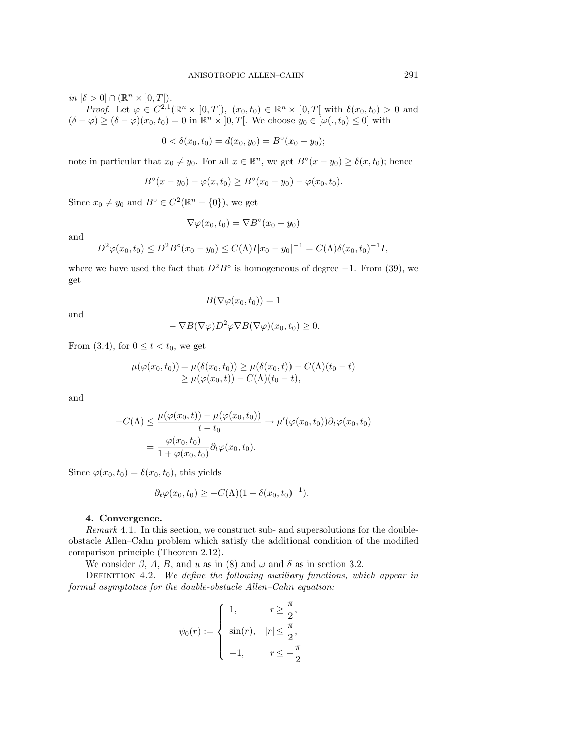$in [\delta > 0] \cap (\mathbb{R}^n \times ]0, T[).$ 

*Proof.* Let  $\varphi \in C^{2,1}(\mathbb{R}^n \times [0,T])$ ,  $(x_0,t_0) \in \mathbb{R}^n \times [0,T]$  with  $\delta(x_0,t_0) > 0$  and  $(\delta - \varphi) \ge (\delta - \varphi)(x_0, t_0) = 0$  in  $\mathbb{R}^n \times ]0, T[$ . We choose  $y_0 \in [\omega(., t_0) \le 0]$  with

$$
0 < \delta(x_0, t_0) = d(x_0, y_0) = B^\circ(x_0 - y_0);
$$

note in particular that  $x_0 \neq y_0$ . For all  $x \in \mathbb{R}^n$ , we get  $B^\circ(x - y_0) \geq \delta(x, t_0)$ ; hence

$$
B^{\circ}(x - y_0) - \varphi(x, t_0) \ge B^{\circ}(x_0 - y_0) - \varphi(x_0, t_0).
$$

Since  $x_0 \neq y_0$  and  $B^\circ \in C^2(\mathbb{R}^n - \{0\})$ , we get

$$
\nabla \varphi(x_0, t_0) = \nabla B^\circ(x_0 - y_0)
$$

and

$$
D^{2}\varphi(x_{0}, t_{0}) \leq D^{2}B^{\circ}(x_{0} - y_{0}) \leq C(\Lambda)I|x_{0} - y_{0}|^{-1} = C(\Lambda)\delta(x_{0}, t_{0})^{-1}I,
$$

where we have used the fact that  $D^2B^{\circ}$  is homogeneous of degree  $-1$ . From (39), we get

$$
B(\nabla \varphi(x_0, t_0)) = 1
$$

and

$$
-\nabla B(\nabla \varphi)D^2 \varphi \nabla B(\nabla \varphi)(x_0, t_0) \ge 0.
$$

From (3.4), for  $0 \le t < t_0$ , we get

$$
\mu(\varphi(x_0, t_0)) = \mu(\delta(x_0, t_0)) \ge \mu(\delta(x_0, t)) - C(\Lambda)(t_0 - t)
$$
  
\n
$$
\ge \mu(\varphi(x_0, t)) - C(\Lambda)(t_0 - t),
$$

and

$$
-C(\Lambda) \leq \frac{\mu(\varphi(x_0, t)) - \mu(\varphi(x_0, t_0))}{t - t_0} \to \mu'(\varphi(x_0, t_0)) \partial_t \varphi(x_0, t_0)
$$

$$
= \frac{\varphi(x_0, t_0)}{1 + \varphi(x_0, t_0)} \partial_t \varphi(x_0, t_0).
$$

Since  $\varphi(x_0, t_0) = \delta(x_0, t_0)$ , this yields

$$
\partial_t \varphi(x_0, t_0) \geq -C(\Lambda)(1 + \delta(x_0, t_0)^{-1}). \qquad \Box
$$

## **4. Convergence.**

Remark 4.1. In this section, we construct sub- and supersolutions for the doubleobstacle Allen–Cahn problem which satisfy the additional condition of the modified comparison principle (Theorem 2.12).

We consider  $\beta$ , A, B, and u as in (8) and  $\omega$  and  $\delta$  as in section 3.2.

DEFINITION 4.2. We define the following auxiliary functions, which appear in formal asymptotics for the double-obstacle Allen–Cahn equation:

$$
\psi_0(r) := \begin{cases} 1, & r \geq \frac{\pi}{2}, \\ \sin(r), & |r| \leq \frac{\pi}{2}, \\ -1, & r \leq -\frac{\pi}{2} \end{cases}
$$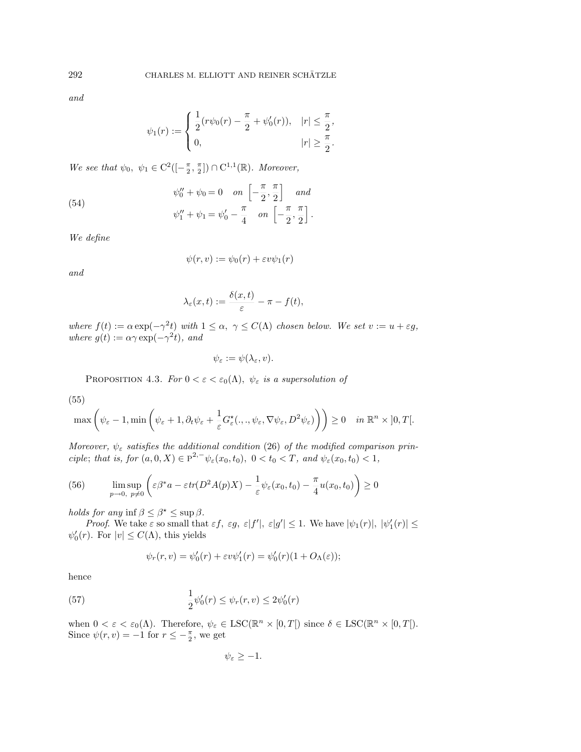and

$$
\psi_1(r) := \begin{cases} \frac{1}{2} (r\psi_0(r) - \frac{\pi}{2} + \psi'_0(r)), & |r| \leq \frac{\pi}{2}, \\ 0, & |r| \geq \frac{\pi}{2}. \end{cases}
$$

We see that  $\psi_0, \psi_1 \in C^2([-\frac{\pi}{2}, \frac{\pi}{2}]) \cap C^{1,1}(\mathbb{R})$ . Moreover,

(54) 
$$
\psi''_0 + \psi_0 = 0 \quad on \left[ -\frac{\pi}{2}, \frac{\pi}{2} \right] \quad and \n\psi''_1 + \psi_1 = \psi'_0 - \frac{\pi}{4} \quad on \left[ -\frac{\pi}{2}, \frac{\pi}{2} \right].
$$

We define

$$
\psi(r,v) := \psi_0(r) + \varepsilon v \psi_1(r)
$$

and

$$
\lambda_{\varepsilon}(x,t) := \frac{\delta(x,t)}{\varepsilon} - \pi - f(t),
$$

where  $f(t) := \alpha \exp(-\gamma^2 t)$  with  $1 \leq \alpha, \gamma \leq C(\Lambda)$  chosen below. We set  $v := u + \varepsilon g$ , where  $g(t) := \alpha \gamma \exp(-\gamma^2 t)$ , and

$$
\psi_{\varepsilon} := \psi(\lambda_{\varepsilon}, v).
$$

PROPOSITION 4.3. For  $0 < \varepsilon < \varepsilon_0(\Lambda)$ ,  $\psi_{\varepsilon}$  is a supersolution of

(55)

$$
\max\left(\psi_{\varepsilon}-1,\min\left(\psi_{\varepsilon}+1,\partial_t\psi_{\varepsilon}+\frac{1}{\varepsilon}G^{\star}_{\varepsilon}(.,.,\psi_{\varepsilon},\nabla\psi_{\varepsilon},D^2\psi_{\varepsilon})\right)\right)\geq 0 \quad \text{in } \mathbb{R}^n \times ]0,T[.
$$

Moreover,  $\psi_{\varepsilon}$  satisfies the additional condition (26) of the modified comparison principle; that is, for  $(a, 0, X) \in \overline{P}^{2,-} \psi_{\varepsilon}(x_0, t_0), 0 < t_0 < T$ , and  $\psi_{\varepsilon}(x_0, t_0) < 1$ ,

(56) 
$$
\limsup_{p \to 0, p \neq 0} \left( \varepsilon \beta^* a - \varepsilon tr(D^2 A(p) X) - \frac{1}{\varepsilon} \psi_{\varepsilon}(x_0, t_0) - \frac{\pi}{4} u(x_0, t_0) \right) \ge 0
$$

*holds for any* inf  $\beta \leq \beta^* \leq \sup \beta$ .

*Proof.* We take  $\varepsilon$  so small that  $\varepsilon f$ ,  $\varepsilon g$ ,  $\varepsilon |f'|$ ,  $\varepsilon |g'| \leq 1$ . We have  $|\psi_1(r)|, |\psi_1'(r)| \leq$  $\psi_0'(r)$ . For  $|v| \leq C(\Lambda)$ , this yields

$$
\psi_r(r,v) = \psi'_0(r) + \varepsilon v \psi'_1(r) = \psi'_0(r)(1 + O_\Lambda(\varepsilon));
$$

hence

(57) 
$$
\frac{1}{2}\psi_0'(r) \leq \psi_r(r,v) \leq 2\psi_0'(r)
$$

when  $0 < \varepsilon < \varepsilon_0(\Lambda)$ . Therefore,  $\psi_{\varepsilon} \in \text{LSC}(\mathbb{R}^n \times [0,T])$  since  $\delta \in \text{LSC}(\mathbb{R}^n \times [0,T])$ . Since  $\psi(r, v) = -1$  for  $r \leq -\frac{\pi}{2}$ , we get

$$
\psi_{\varepsilon}\geq-1.
$$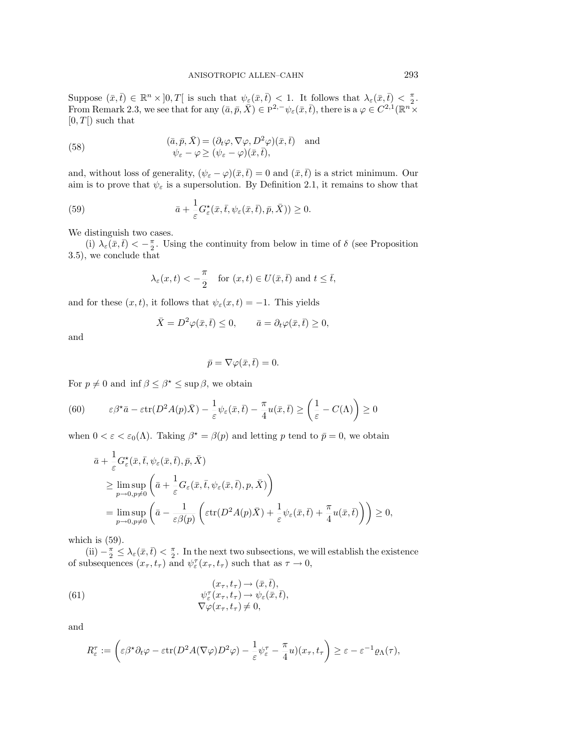Suppose  $(\bar{x}, \bar{t}) \in \mathbb{R}^n \times ]0, T[$  is such that  $\psi_{\underline{\varepsilon}}(\bar{x}, \bar{t}) \leq 1$ . It follows that  $\lambda_{\varepsilon}(\bar{x}, \bar{t}) \leq \frac{\pi}{2}$ . From Remark 2.3, we see that for any  $(\bar{a}, \bar{p}, \bar{X}) \in P^{2,-} \psi_{\varepsilon}(\bar{x}, \bar{t})$ , there is a  $\varphi \in C^{2,1}(\mathbb{R}^n \times$  $[0, T]$  such that

(58) 
$$
(\bar{a}, \bar{p}, \bar{X}) = (\partial_t \varphi, \nabla \varphi, D^2 \varphi)(\bar{x}, \bar{t}) \text{ and} \n\psi_{\varepsilon} - \varphi \ge (\psi_{\varepsilon} - \varphi)(\bar{x}, \bar{t}),
$$

and, without loss of generality,  $(\psi_{\varepsilon} - \varphi)(\bar{x}, \bar{t}) = 0$  and  $(\bar{x}, \bar{t})$  is a strict minimum. Our aim is to prove that  $\psi_{\varepsilon}$  is a supersolution. By Definition 2.1, it remains to show that

(59) 
$$
\bar{a} + \frac{1}{\varepsilon} G_{\varepsilon}^{\star}(\bar{x}, \bar{t}, \psi_{\varepsilon}(\bar{x}, \bar{t}), \bar{p}, \bar{X})) \geq 0.
$$

We distinguish two cases.

(i)  $\lambda_{\varepsilon}(\bar{x},\bar{t}) < -\frac{\pi}{2}$ . Using the continuity from below in time of  $\delta$  (see Proposition 3.5), we conclude that

$$
\lambda_{\varepsilon}(x,t) < -\frac{\pi}{2}
$$
 for  $(x,t) \in U(\bar{x},\bar{t})$  and  $t \leq \bar{t}$ ,

and for these  $(x, t)$ , it follows that  $\psi_{\varepsilon}(x, t) = -1$ . This yields

$$
\bar{X} = D^2 \varphi(\bar{x}, \bar{t}) \le 0, \qquad \bar{a} = \partial_t \varphi(\bar{x}, \bar{t}) \ge 0,
$$

and

$$
\bar{p} = \nabla \varphi(\bar{x}, \bar{t}) = 0.
$$

For  $p \neq 0$  and inf  $\beta \leq \beta^* \leq \sup \beta$ , we obtain

(60) 
$$
\varepsilon \beta^* \bar{a} - \varepsilon \text{tr}(D^2 A(p)\bar{X}) - \frac{1}{\varepsilon} \psi_{\varepsilon}(\bar{x}, \bar{t}) - \frac{\pi}{4} u(\bar{x}, \bar{t}) \geq \left(\frac{1}{\varepsilon} - C(\Lambda)\right) \geq 0
$$

when  $0 < \varepsilon < \varepsilon_0(\Lambda)$ . Taking  $\beta^* = \beta(p)$  and letting p tend to  $\bar{p} = 0$ , we obtain

$$
\bar{a} + \frac{1}{\varepsilon} G_{\varepsilon}^{\star}(\bar{x}, \bar{t}, \psi_{\varepsilon}(\bar{x}, \bar{t}), \bar{p}, \bar{X})
$$
\n
$$
\geq \limsup_{p \to 0, p \neq 0} \left( \bar{a} + \frac{1}{\varepsilon} G_{\varepsilon}(\bar{x}, \bar{t}, \psi_{\varepsilon}(\bar{x}, \bar{t}), p, \bar{X}) \right)
$$
\n
$$
= \limsup_{p \to 0, p \neq 0} \left( \bar{a} - \frac{1}{\varepsilon \beta(p)} \left( \varepsilon \text{tr}(D^2 A(p) \bar{X}) + \frac{1}{\varepsilon} \psi_{\varepsilon}(\bar{x}, \bar{t}) + \frac{\pi}{4} u(\bar{x}, \bar{t}) \right) \right) \geq 0,
$$

which is  $(59)$ .

 $(ii) -\frac{\pi}{2}$  ≤  $\lambda_{\varepsilon}(\bar{x}, \bar{t}) < \frac{\pi}{2}$ . In the next two subsections, we will establish the existence of subsequences  $(x_{\tau}, t_{\tau})$  and  $\psi_{\varepsilon}^{\tau}(x_{\tau}, t_{\tau})$  such that as  $\tau \to 0$ ,

(61) 
$$
(x_{\tau}, t_{\tau}) \rightarrow (\bar{x}, \bar{t}),
$$

$$
\psi_{\varepsilon}^{\tau}(x_{\tau}, t_{\tau}) \rightarrow \psi_{\varepsilon}(\bar{x}, \bar{t}),
$$

$$
\nabla \varphi(x_{\tau}, t_{\tau}) \neq 0,
$$

and

$$
R_{\varepsilon}^{\tau} := \left( \varepsilon \beta^* \partial_t \varphi - \varepsilon \text{tr}(D^2 A(\nabla \varphi) D^2 \varphi) - \frac{1}{\varepsilon} \psi_{\varepsilon}^{\tau} - \frac{\pi}{4} u(x_{\tau}, t_{\tau}) \right) \geq \varepsilon - \varepsilon^{-1} \varrho_{\Lambda}(\tau),
$$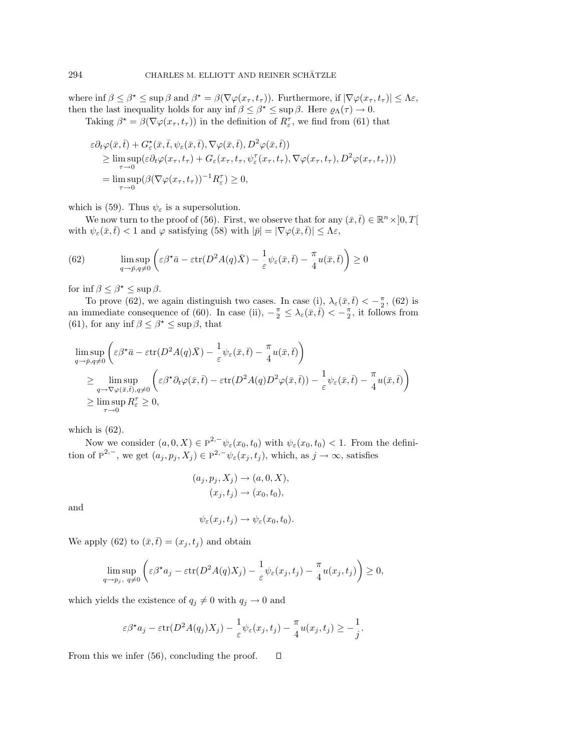where inf  $\beta \leq \beta^* \leq \sup \beta$  and  $\beta^* = \beta(\nabla \varphi(x_\tau, t_\tau))$ . Furthermore, if  $|\nabla \varphi(x_\tau, t_\tau)| \leq \Lambda \varepsilon$ , then the last inequality holds for any inf  $\beta \leq \beta^* \leq \sup \beta$ . Here  $\varrho_\Lambda(\tau) \to 0$ .

Taking  $\beta^* = \beta(\nabla \varphi(x_\tau, t_\tau))$  in the definition of  $R^{\tau}_{\varepsilon}$ , we find from (61) that

$$
\varepsilon \partial_t \varphi(\bar{x}, \bar{t}) + G_{\varepsilon}^{\star}(\bar{x}, \bar{t}, \psi_{\varepsilon}(\bar{x}, \bar{t}), \nabla \varphi(\bar{x}, \bar{t}), D^2 \varphi(\bar{x}, \bar{t})) \geq \limsup_{\tau \to 0} (\varepsilon \partial_t \varphi(x_\tau, t_\tau) + G_{\varepsilon}(x_\tau, t_\tau, \psi_{\varepsilon}^{\tau}(x_\tau, t_\tau), \nabla \varphi(x_\tau, t_\tau), D^2 \varphi(x_\tau, t_\tau))) \n= \limsup_{\tau \to 0} (\beta (\nabla \varphi(x_\tau, t_\tau))^{-1} R_{\varepsilon}^{\tau}) \geq 0,
$$

which is (59). Thus  $\psi_{\varepsilon}$  is a supersolution.

We now turn to the proof of (56). First, we observe that for any  $(\bar{x}, \bar{t}) \in \mathbb{R}^n \times ]0, T[$ with  $\psi_{\varepsilon}(\bar{x}, \bar{t}) < 1$  and  $\varphi$  satisfying (58) with  $|\bar{p}| = |\nabla \varphi(\bar{x}, \bar{t})| \leq \Lambda \varepsilon$ ,

(62) 
$$
\limsup_{q \to \bar{p}, q \neq 0} \left( \varepsilon \beta^* \bar{a} - \varepsilon \text{tr}(D^2 A(q) \bar{X}) - \frac{1}{\varepsilon} \psi_{\varepsilon}(\bar{x}, \bar{t}) - \frac{\pi}{4} u(\bar{x}, \bar{t}) \right) \ge 0
$$

for inf  $\beta \leq \beta^* \leq \sup \beta$ .

To prove (62), we again distinguish two cases. In case (i),  $\lambda_{\varepsilon}(\bar{x}, \bar{t}) < -\frac{\pi}{2}$ , (62) is an immediate consequence of (60). In case (ii),  $-\frac{\pi}{2} \leq \lambda_{\varepsilon}(\bar{x}, \bar{t}) < -\frac{\pi}{2}$ , it follows from (61), for any inf  $\beta \leq \beta^* \leq \sup \beta$ , that

$$
\limsup_{q \to \bar{p}, q \neq 0} \left( \varepsilon \beta^* \bar{a} - \varepsilon \text{tr}(D^2 A(q) \bar{X}) - \frac{1}{\varepsilon} \psi_{\varepsilon}(\bar{x}, \bar{t}) - \frac{\pi}{4} u(\bar{x}, \bar{t}) \right) \n\geq \limsup_{q \to \nabla \varphi(\bar{x}, \bar{t}), q \neq 0} \left( \varepsilon \beta^* \partial_t \varphi(\bar{x}, \bar{t}) - \varepsilon \text{tr}(D^2 A(q) D^2 \varphi(\bar{x}, \bar{t})) - \frac{1}{\varepsilon} \psi_{\varepsilon}(\bar{x}, \bar{t}) - \frac{\pi}{4} u(\bar{x}, \bar{t}) \right) \n\geq \limsup_{\tau \to 0} R_{\varepsilon}^{\tau} \geq 0,
$$

which is  $(62)$ .

Now we consider  $(a, 0, X) \in \overline{P}^{2,-} \psi_{\varepsilon}(x_0, t_0)$  with  $\psi_{\varepsilon}(x_0, t_0) < 1$ . From the definition of  $\overline{P}^{2,-}$ , we get  $(a_j, p_j, X_j) \in P^{2,-} \psi_{\varepsilon}(x_j, t_j)$ , which, as  $j \to \infty$ , satisfies

$$
(a_j, p_j, X_j) \rightarrow (a, 0, X),
$$

$$
(x_j, t_j) \rightarrow (x_0, t_0),
$$

and

$$
\psi_{\varepsilon}(x_j, t_j) \to \psi_{\varepsilon}(x_0, t_0).
$$

We apply (62) to  $(\bar{x}, \bar{t}) = (x_j, t_j)$  and obtain

$$
\limsup_{q \to p_j, q \neq 0} \left( \varepsilon \beta^* a_j - \varepsilon \text{tr}(D^2 A(q) X_j) - \frac{1}{\varepsilon} \psi_{\varepsilon}(x_j, t_j) - \frac{\pi}{4} u(x_j, t_j) \right) \ge 0,
$$

which yields the existence of  $q_i \neq 0$  with  $q_i \rightarrow 0$  and

$$
\varepsilon \beta^* a_j - \varepsilon \operatorname{tr}(D^2 A(q_j) X_j) - \frac{1}{\varepsilon} \psi_\varepsilon(x_j, t_j) - \frac{\pi}{4} u(x_j, t_j) \geq -\frac{1}{j}.
$$

From this we infer (56), concluding the proof.D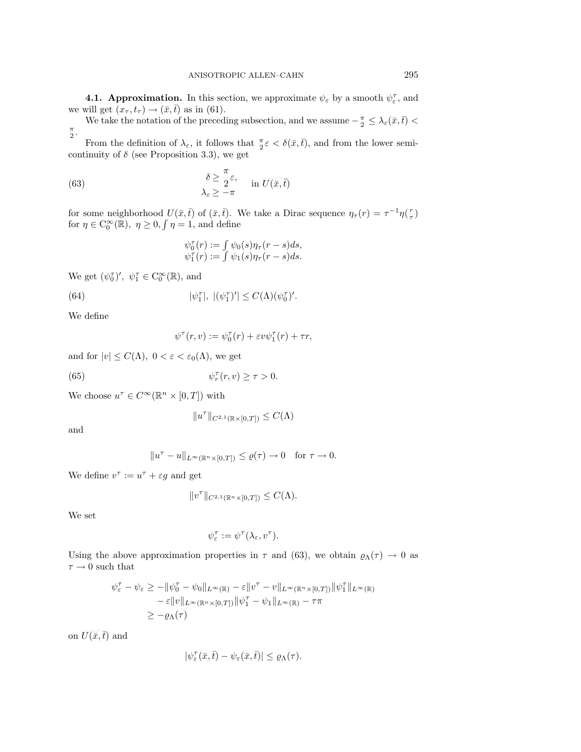**4.1. Approximation.** In this section, we approximate  $\psi_{\varepsilon}$  by a smooth  $\psi_{\varepsilon}^{\tau}$ , and we will get  $(x_\tau, t_\tau) \to (\bar{x}, \bar{t})$  as in (61).

We take the notation of the preceding subsection, and we assume  $-\frac{\pi}{2} \leq \lambda_{\varepsilon}(\bar{x}, \bar{t})$  $\frac{\pi}{2}$ .

From the definition of  $\lambda_{\varepsilon}$ , it follows that  $\frac{\pi}{2}\varepsilon < \delta(\bar{x}, \bar{t})$ , and from the lower semicontinuity of  $\delta$  (see Proposition 3.3), we get

(63) 
$$
\begin{aligned}\n\delta &\geq \frac{\pi}{2} \varepsilon, \\
\lambda_{\varepsilon} &\geq -\pi\n\end{aligned}\n\quad \text{in } \overline{U(\bar{x}, \bar{t})}
$$

for some neighborhood  $U(\bar{x}, \bar{t})$  of  $(\bar{x}, \bar{t})$ . We take a Dirac sequence  $\eta_{\tau}(r) = \tau^{-1}\eta(\frac{r}{\tau})$ for  $\eta \in C_0^{\infty}(\mathbb{R})$ ,  $\eta \geq 0$ ,  $\int \eta = 1$ , and define

$$
\psi_0^{\tau}(r) := \int \psi_0(s) \eta_{\tau}(r-s) ds, \psi_1^{\tau}(r) := \int \psi_1(s) \eta_{\tau}(r-s) ds.
$$

We get  $(\psi_0^{\tau})'$ ,  $\psi_1^{\tau} \in C_0^{\infty}(\mathbb{R})$ , and

(64) 
$$
|\psi_1^{\tau}|, \; |(\psi_1^{\tau})'| \leq C(\Lambda)(\psi_0^{\tau})'.
$$

We define

$$
\psi^{\tau}(r,v) := \psi_0^{\tau}(r) + \varepsilon v \psi_1^{\tau}(r) + \tau r,
$$

and for  $|v| \leq C(\Lambda)$ ,  $0 < \varepsilon < \varepsilon_0(\Lambda)$ , we get

(65) 
$$
\psi_r^{\tau}(r, v) \geq \tau > 0.
$$

We choose  $u^{\tau} \in C^{\infty}(\mathbb{R}^n \times [0,T])$  with

$$
||u^\tau||_{C^{2,1}(\mathbb{R}\times[0,T])}\leq C(\Lambda)
$$

and

$$
||u^{\tau}-u||_{L^{\infty}(\mathbb{R}^n \times [0,T])} \leq \varrho(\tau) \to 0 \quad \text{for } \tau \to 0.
$$

We define  $v^{\tau} := u^{\tau} + \varepsilon g$  and get

$$
||v^\tau||_{C^{2,1}(\mathbb{R}^n\times [0,T])}\leq C(\Lambda).
$$

We set

$$
\psi_{\varepsilon}^{\tau} := \psi^{\tau}(\lambda_{\varepsilon}, v^{\tau}).
$$

Using the above approximation properties in  $\tau$  and (63), we obtain  $\varrho_{\Lambda}(\tau) \to 0$  as  $\tau \rightarrow 0$  such that

$$
\psi_{\varepsilon}^{\tau} - \psi_{\varepsilon} \ge -\|\psi_0^{\tau} - \psi_0\|_{L^{\infty}(\mathbb{R})} - \varepsilon \|v^{\tau} - v\|_{L^{\infty}(\mathbb{R}^n \times [0,T])} \|\psi_1^{\tau}\|_{L^{\infty}(\mathbb{R})}
$$

$$
- \varepsilon \|v\|_{L^{\infty}(\mathbb{R}^n \times [0,T])} \|\psi_1^{\tau} - \psi_1\|_{L^{\infty}(\mathbb{R})} - \tau \pi
$$

$$
\ge -\varrho_{\Lambda}(\tau)
$$

on  $\overline{U(\bar{x},\bar{t})}$  and

$$
|\psi_{\varepsilon}^{\tau}(\bar{x},\bar{t}) - \psi_{\varepsilon}(\bar{x},\bar{t})| \leq \varrho_{\Lambda}(\tau).
$$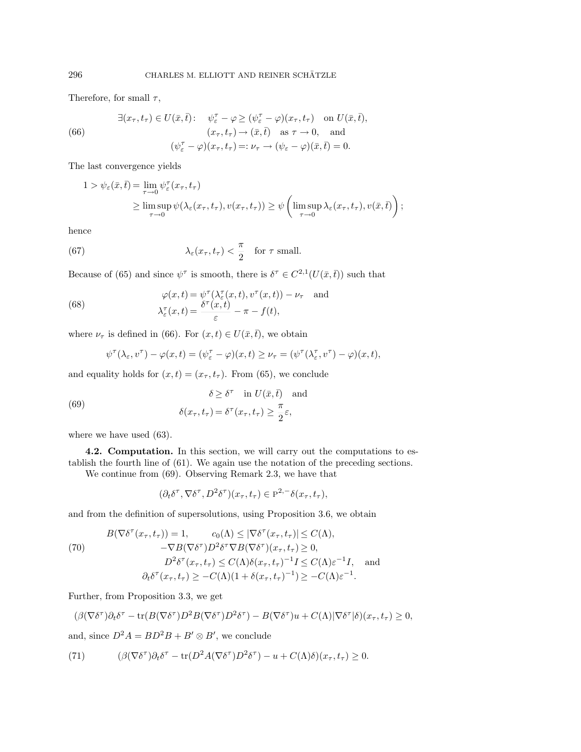Therefore, for small  $\tau$ ,

(66) 
$$
\exists (x_{\tau}, t_{\tau}) \in U(\bar{x}, \bar{t}): \quad \psi_{\varepsilon}^{\tau} - \varphi \ge (\psi_{\varepsilon}^{\tau} - \varphi)(x_{\tau}, t_{\tau}) \quad \text{on } U(\bar{x}, \bar{t}), (x_{\tau}, t_{\tau}) \to (\bar{x}, \bar{t}) \quad \text{as } \tau \to 0, \text{ and} (\psi_{\varepsilon}^{\tau} - \varphi)(x_{\tau}, t_{\tau}) =: \nu_{\tau} \to (\psi_{\varepsilon} - \varphi)(\bar{x}, \bar{t}) = 0.
$$

The last convergence yields

$$
1 > \psi_{\varepsilon}(\bar{x}, \bar{t}) = \lim_{\tau \to 0} \psi_{\varepsilon}^{\tau}(x_{\tau}, t_{\tau})
$$
  
 
$$
\geq \limsup_{\tau \to 0} \psi(\lambda_{\varepsilon}(x_{\tau}, t_{\tau}), v(x_{\tau}, t_{\tau})) \geq \psi\left(\limsup_{\tau \to 0} \lambda_{\varepsilon}(x_{\tau}, t_{\tau}), v(\bar{x}, \bar{t})\right);
$$

hence

(67) 
$$
\lambda_{\varepsilon}(x_{\tau}, t_{\tau}) < \frac{\pi}{2} \quad \text{for } \tau \text{ small.}
$$

Because of (65) and since  $\psi^{\tau}$  is smooth, there is  $\delta^{\tau} \in C^{2,1}(U(\bar{x},\bar{t}))$  such that

(68) 
$$
\varphi(x,t) = \psi^{\tau}(\lambda_{\varepsilon}^{\tau}(x,t), v^{\tau}(x,t)) - \nu_{\tau} \text{ and} \lambda_{\varepsilon}^{\tau}(x,t) = \frac{\delta^{\tau}(x,t)}{\varepsilon} - \pi - f(t),
$$

where  $\nu_{\tau}$  is defined in (66). For  $(x, t) \in U(\bar{x}, \bar{t})$ , we obtain

$$
\psi^{\tau}(\lambda_{\varepsilon}, v^{\tau}) - \varphi(x, t) = (\psi_{\varepsilon}^{\tau} - \varphi)(x, t) \ge \nu_{\tau} = (\psi^{\tau}(\lambda_{\varepsilon}^{\tau}, v^{\tau}) - \varphi)(x, t),
$$

and equality holds for  $(x, t) = (x_\tau, t_\tau)$ . From (65), we conclude

(69) 
$$
\delta \geq \delta^{\tau} \quad \text{in } U(\bar{x}, \bar{t}) \quad \text{and}
$$

$$
\delta(x_{\tau}, t_{\tau}) = \delta^{\tau}(x_{\tau}, t_{\tau}) \geq \frac{\pi}{2} \varepsilon,
$$

where we have used  $(63)$ .

**4.2. Computation.** In this section, we will carry out the computations to establish the fourth line of (61). We again use the notation of the preceding sections.

We continue from (69). Observing Remark 2.3, we have that

$$
(\partial_t \delta^\tau, \nabla \delta^\tau, D^2 \delta^\tau)(x_\tau, t_\tau) \in \mathcal{P}^{2,-} \delta(x_\tau, t_\tau),
$$

and from the definition of supersolutions, using Proposition 3.6, we obtain

(70)  
\n
$$
B(\nabla \delta^{\tau}(x_{\tau}, t_{\tau})) = 1, \qquad c_0(\Lambda) \leq |\nabla \delta^{\tau}(x_{\tau}, t_{\tau})| \leq C(\Lambda),
$$
\n
$$
-\nabla B(\nabla \delta^{\tau}) D^2 \delta^{\tau} \nabla B(\nabla \delta^{\tau})(x_{\tau}, t_{\tau}) \geq 0,
$$
\n
$$
D^2 \delta^{\tau}(x_{\tau}, t_{\tau}) \leq C(\Lambda) \delta(x_{\tau}, t_{\tau})^{-1} I \leq C(\Lambda) \varepsilon^{-1} I, \quad \text{and}
$$
\n
$$
\partial_t \delta^{\tau}(x_{\tau}, t_{\tau}) \geq -C(\Lambda) (1 + \delta(x_{\tau}, t_{\tau})^{-1}) \geq -C(\Lambda) \varepsilon^{-1}.
$$

Further, from Proposition 3.3, we get

$$
(\beta(\nabla \delta^{\tau})\partial_t \delta^{\tau} - \text{tr}(B(\nabla \delta^{\tau})D^2B(\nabla \delta^{\tau})D^2\delta^{\tau}) - B(\nabla \delta^{\tau})u + C(\Lambda)|\nabla \delta^{\tau}|\delta)(x_{\tau}, t_{\tau}) \geq 0,
$$

and, since  $D^2A = BD^2B + B' \otimes B'$ , we conclude

(71) 
$$
(\beta(\nabla \delta^{\tau})\partial_t \delta^{\tau} - \text{tr}(D^2 A(\nabla \delta^{\tau})D^2 \delta^{\tau}) - u + C(\Lambda)\delta)(x_{\tau}, t_{\tau}) \geq 0.
$$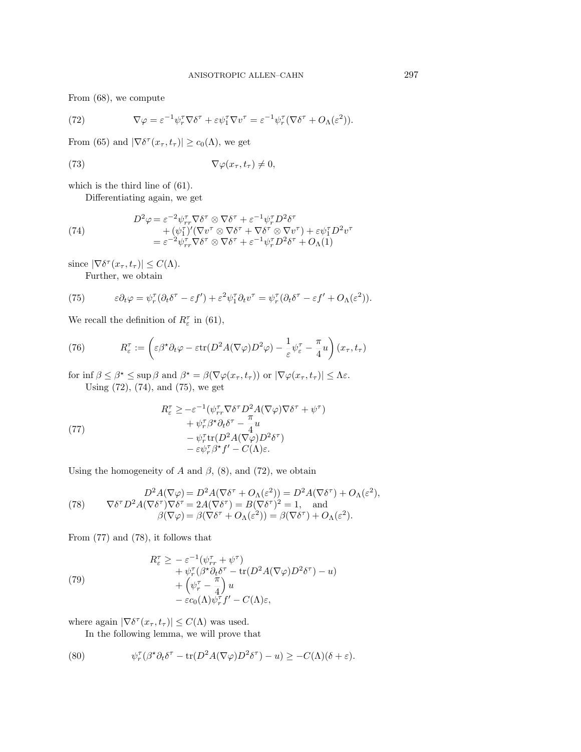From (68), we compute

(72) 
$$
\nabla \varphi = \varepsilon^{-1} \psi_r^{\tau} \nabla \delta^{\tau} + \varepsilon \psi_1^{\tau} \nabla v^{\tau} = \varepsilon^{-1} \psi_r^{\tau} (\nabla \delta^{\tau} + O_{\Lambda}(\varepsilon^2)).
$$

From (65) and  $|\nabla \delta^{\tau}(x_{\tau}, t_{\tau})| \ge c_0(\Lambda)$ , we get

(73) 
$$
\nabla \varphi(x_\tau, t_\tau) \neq 0,
$$

which is the third line of (61).

Differentiating again, we get

(74) 
$$
D^2 \varphi = \varepsilon^{-2} \psi_{rr}^{\tau} \nabla \delta^{\tau} \otimes \nabla \delta^{\tau} + \varepsilon^{-1} \psi_{r}^{\tau} D^2 \delta^{\tau} + (\psi_1^{\tau})' (\nabla v^{\tau} \otimes \nabla \delta^{\tau} + \nabla \delta^{\tau} \otimes \nabla v^{\tau}) + \varepsilon \psi_1^{\tau} D^2 v^{\tau} = \varepsilon^{-2} \psi_{rr}^{\tau} \nabla \delta^{\tau} \otimes \nabla \delta^{\tau} + \varepsilon^{-1} \psi_{r}^{\tau} D^2 \delta^{\tau} + O_{\Lambda}(1)
$$

since  $|\nabla \delta^{\tau}(x_{\tau}, t_{\tau})| \leq C(\Lambda)$ .

Further, we obtain

(75) 
$$
\varepsilon \partial_t \varphi = \psi_r^{\tau} (\partial_t \delta^{\tau} - \varepsilon f') + \varepsilon^2 \psi_1^{\tau} \partial_t v^{\tau} = \psi_r^{\tau} (\partial_t \delta^{\tau} - \varepsilon f' + O_{\Lambda}(\varepsilon^2)).
$$

We recall the definition of  $R_{\varepsilon}^{\tau}$  in (61),

(76) 
$$
R_{\varepsilon}^{\tau} := \left( \varepsilon \beta^* \partial_t \varphi - \varepsilon \text{tr}(D^2 A(\nabla \varphi) D^2 \varphi) - \frac{1}{\varepsilon} \psi_{\varepsilon}^{\tau} - \frac{\pi}{4} u \right) (x_{\tau}, t_{\tau})
$$

for inf  $\beta \leq \beta^* \leq \sup \beta$  and  $\beta^* = \beta(\nabla \varphi(x_\tau,t_\tau))$  or  $|\nabla \varphi(x_\tau,t_\tau)| \leq \Lambda \varepsilon$ . Using (72), (74), and (75), we get

(77)  
\n
$$
R_{\varepsilon}^{\tau} \geq -\varepsilon^{-1} (\psi_{rr}^{\tau} \nabla \delta^{\tau} D^{2} A (\nabla \varphi) \nabla \delta^{\tau} + \psi^{\tau})
$$
\n
$$
+ \psi_{r}^{\tau} \beta^{\star} \partial_{t} \delta^{\tau} - \frac{\pi}{4} u
$$
\n
$$
- \psi_{r}^{\tau} \text{tr}(D^{2} A (\nabla \varphi) D^{2} \delta^{\tau})
$$
\n
$$
- \varepsilon \psi_{r}^{\tau} \beta^{\star} f' - C(\Lambda) \varepsilon.
$$

Using the homogeneity of A and  $\beta$ , (8), and (72), we obtain

(78) 
$$
D^2 A(\nabla \varphi) = D^2 A(\nabla \delta^\tau + O_\Lambda(\varepsilon^2)) = D^2 A(\nabla \delta^\tau) + O_\Lambda(\varepsilon^2),
$$

$$
\nabla \delta^\tau D^2 A(\nabla \delta^\tau) \nabla \delta^\tau = 2A(\nabla \delta^\tau) = B(\nabla \delta^\tau)^2 = 1, \text{ and}
$$

$$
\beta(\nabla \varphi) = \beta(\nabla \delta^\tau + O_\Lambda(\varepsilon^2)) = \beta(\nabla \delta^\tau) + O_\Lambda(\varepsilon^2).
$$

From (77) and (78), it follows that

(79)  
\n
$$
R_{\varepsilon}^{\tau} \geq -\varepsilon^{-1}(\psi_{rr}^{\tau} + \psi^{\tau}) + \psi_{r}^{\tau}(\beta^{*}\partial_{t}\delta^{\tau} - \text{tr}(D^{2}A(\nabla\varphi)D^{2}\delta^{\tau}) - u) + (\psi_{r}^{\tau} - \frac{\pi}{4})u - \varepsilon c_{0}(\Lambda)\psi_{r}^{\tau}f' - C(\Lambda)\varepsilon,
$$

where again  $|\nabla \delta^{\tau}(x_{\tau}, t_{\tau})| \leq C(\Lambda)$  was used.

In the following lemma, we will prove that

(80) 
$$
\psi_r^{\tau}(\beta^{\star}\partial_t \delta^{\tau} - \text{tr}(D^2 A(\nabla \varphi)D^2 \delta^{\tau}) - u) \geq -C(\Lambda)(\delta + \varepsilon).
$$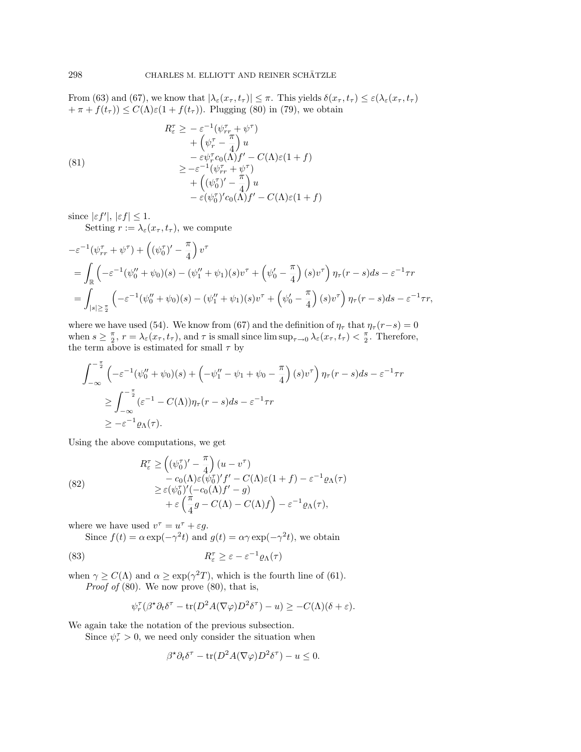From (63) and (67), we know that  $|\lambda_{\varepsilon}(x_{\tau}, t_{\tau})| \leq \pi$ . This yields  $\delta(x_{\tau}, t_{\tau}) \leq \varepsilon(\lambda_{\varepsilon}(x_{\tau}, t_{\tau}))$  $+\pi + f(t_\tau) \leq C(\Lambda) \varepsilon (1 + f(t_\tau)).$  Plugging (80) in (79), we obtain

(81)  
\n
$$
R_{\varepsilon}^{\tau} \geq -\varepsilon^{-1}(\psi_{rr}^{\tau} + \psi^{\tau})
$$
\n
$$
+ (\psi_{r}^{\tau} - \frac{\pi}{4}) u
$$
\n
$$
- \varepsilon \psi_{r}^{\tau} c_{0}(\Lambda) f' - C(\Lambda) \varepsilon (1 + f)
$$
\n
$$
\geq -\varepsilon^{-1} (\psi_{rr}^{\tau} + \psi^{\tau})
$$
\n
$$
+ ((\psi_{0}^{\tau})' - \frac{\pi}{4}) u
$$
\n
$$
- \varepsilon (\psi_{0}^{\tau})' c_{0}(\Lambda) f' - C(\Lambda) \varepsilon (1 + f)
$$

 $\text{since } |\varepsilon f'|, |\varepsilon f| \leq 1.$ 

Setting  $r := \lambda_{\varepsilon}(x_{\tau}, t_{\tau})$ , we compute

$$
\begin{split} &-\varepsilon^{-1}(\psi_{rr}^{\tau}+\psi^{\tau})+\left((\psi_0^{\tau})'-\frac{\pi}{4}\right)v^{\tau} \\ &=\int_{\mathbb{R}}\left(-\varepsilon^{-1}(\psi_0^{\prime\prime}+\psi_0)(s)-(\psi_1^{\prime\prime}+\psi_1)(s)v^{\tau}+\left(\psi_0^{\prime}-\frac{\pi}{4}\right)(s)v^{\tau}\right)\eta_{\tau}(r-s)ds-\varepsilon^{-1}\tau r \\ &=\int_{|s|\geq\frac{\pi}{2}}\left(-\varepsilon^{-1}(\psi_0^{\prime\prime}+\psi_0)(s)-(\psi_1^{\prime\prime}+\psi_1)(s)v^{\tau}+\left(\psi_0^{\prime}-\frac{\pi}{4}\right)(s)v^{\tau}\right)\eta_{\tau}(r-s)ds-\varepsilon^{-1}\tau r, \end{split}
$$

where we have used (54). We know from (67) and the definition of  $\eta_{\tau}$  that  $\eta_{\tau}(r-s)=0$ when  $s \geq \frac{\pi}{2}$ ,  $r = \lambda_{\varepsilon}(x_{\tau}, t_{\tau})$ , and  $\tau$  is small since  $\limsup_{\tau \to 0} \lambda_{\varepsilon}(x_{\tau}, t_{\tau}) < \frac{\pi}{2}$ . Therefore, the term above is estimated for small  $\tau$  by

$$
\int_{-\infty}^{-\frac{\pi}{2}} \left( -\varepsilon^{-1} (\psi_0'' + \psi_0)(s) + \left( -\psi_1'' - \psi_1 + \psi_0 - \frac{\pi}{4} \right) (s) v^{\tau} \right) \eta_{\tau} (r - s) ds - \varepsilon^{-1} \tau r
$$
  
\n
$$
\geq \int_{-\infty}^{-\frac{\pi}{2}} (\varepsilon^{-1} - C(\Lambda)) \eta_{\tau} (r - s) ds - \varepsilon^{-1} \tau r
$$
  
\n
$$
\geq -\varepsilon^{-1} \varrho_{\Lambda}(\tau).
$$

Using the above computations, we get

(82)  
\n
$$
R_{\varepsilon}^{T} \geq \left( (\psi_{0}^{\tau})' - \frac{\pi}{4} \right) (u - v^{\tau})
$$
\n
$$
- c_{0}(\Lambda) \varepsilon (\psi_{0}^{\tau})' f' - C(\Lambda) \varepsilon (1 + f) - \varepsilon^{-1} \varrho_{\Lambda}(\tau)
$$
\n
$$
\geq \varepsilon (\psi_{0}^{\tau})' (-c_{0}(\Lambda) f' - g)
$$
\n
$$
+ \varepsilon \left( \frac{\pi}{4} g - C(\Lambda) - C(\Lambda) f \right) - \varepsilon^{-1} \varrho_{\Lambda}(\tau),
$$

where we have used  $v^{\tau} = u^{\tau} + \varepsilon g$ .

Since  $f(t) = \alpha \exp(-\gamma^2 t)$  and  $g(t) = \alpha \gamma \exp(-\gamma^2 t)$ , we obtain

(83) 
$$
R_{\varepsilon}^{\tau} \geq \varepsilon - \varepsilon^{-1} \varrho_{\Lambda}(\tau)
$$

when  $\gamma \ge C(\Lambda)$  and  $\alpha \ge \exp(\gamma^2 T)$ , which is the fourth line of (61). *Proof of*  $(80)$ . We now prove  $(80)$ , that is,

$$
\psi_r^{\tau}(\beta^{\star}\partial_t \delta^{\tau} - \text{tr}(D^2 A(\nabla \varphi)D^2 \delta^{\tau}) - u) \geq -C(\Lambda)(\delta + \varepsilon).
$$

We again take the notation of the previous subsection.

Since  $\psi_r^{\tau} > 0$ , we need only consider the situation when

$$
\beta^* \partial_t \delta^{\tau} - \text{tr}(D^2 A(\nabla \varphi) D^2 \delta^{\tau}) - u \le 0.
$$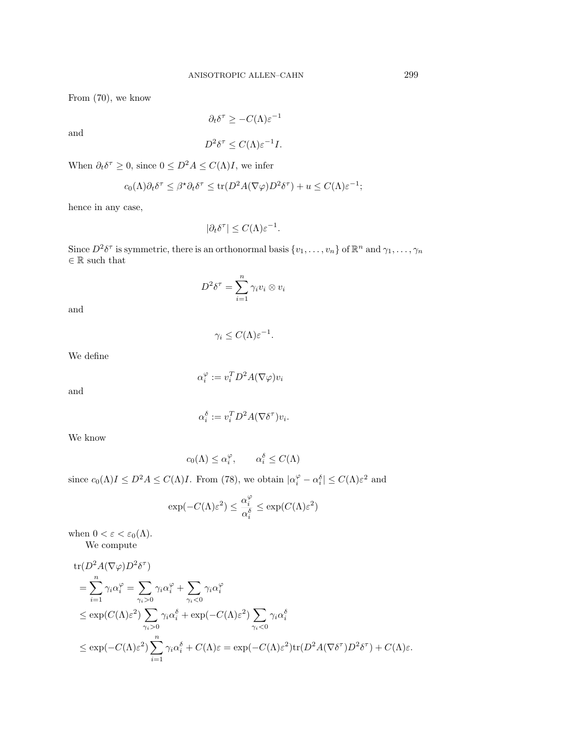From (70), we know

and

$$
\partial_t \delta^\tau \geq -C(\Lambda) \varepsilon^{-1}
$$

 $D^2 \delta^{\tau} \leq C(\Lambda) \varepsilon^{-1} I.$ 

When 
$$
\partial_t \delta^\tau \geq 0
$$
, since  $0 \leq D^2 A \leq C(\Lambda) I$ , we infer

$$
c_0(\Lambda)\partial_t \delta^{\tau} \leq \beta^{\star}\partial_t \delta^{\tau} \leq \text{tr}(D^2 A(\nabla \varphi)D^2 \delta^{\tau}) + u \leq C(\Lambda)\varepsilon^{-1};
$$

hence in any case,

$$
|\partial_t \delta^{\tau}| \le C(\Lambda) \varepsilon^{-1}.
$$

Since  $D^2 \delta^{\tau}$  is symmetric, there is an orthonormal basis  $\{v_1,\ldots,v_n\}$  of  $\mathbb{R}^n$  and  $\gamma_1,\ldots,\gamma_n$ *∈* R such that

$$
D^2 \delta^{\tau} = \sum_{i=1}^n \gamma_i v_i \otimes v_i
$$

 $\gamma_i \leq C(\Lambda) \varepsilon^{-1}.$ 

and

We define

and

$$
\alpha_i^{\varphi} := v_i^T D^2 A(\nabla \varphi) v_i
$$

$$
\alpha_i^{\delta} := v_i^T D^2 A(\nabla \delta^{\tau}) v_i.
$$

We know

$$
c_0(\Lambda) \le \alpha_i^{\varphi}, \qquad \alpha_i^{\delta} \le C(\Lambda)
$$

since  $c_0(\Lambda)I \leq D^2A \leq C(\Lambda)I$ . From (78), we obtain  $|\alpha_i^{\varphi} - \alpha_i^{\delta}| \leq C(\Lambda)\varepsilon^2$  and

$$
\exp(-C(\Lambda)\varepsilon^2) \leq \frac{\alpha_i^\varphi}{\alpha_i^\delta} \leq \exp(C(\Lambda)\varepsilon^2)
$$

when  $0 < \varepsilon < \varepsilon_0(\Lambda)$ . We compute

$$
\begin{split} &\text{tr}(D^2A(\nabla\varphi)D^2\delta^{\tau})\\ &=\sum_{i=1}^n\gamma_i\alpha_i^{\varphi}=\sum_{\gamma_i>0}\gamma_i\alpha_i^{\varphi}+\sum_{\gamma_i<0}\gamma_i\alpha_i^{\varphi}\\ &\leq\exp(C(\Lambda)\varepsilon^2)\sum_{\gamma_i>0}\gamma_i\alpha_i^{\delta}+\exp(-C(\Lambda)\varepsilon^2)\sum_{\gamma_i<0}\gamma_i\alpha_i^{\delta}\\ &\leq\exp(-C(\Lambda)\varepsilon^2)\sum_{i=1}^n\gamma_i\alpha_i^{\delta}+C(\Lambda)\varepsilon=\exp(-C(\Lambda)\varepsilon^2)\text{tr}(D^2A(\nabla\delta^{\tau})D^2\delta^{\tau})+C(\Lambda)\varepsilon.\end{split}
$$

$$
^{299}
$$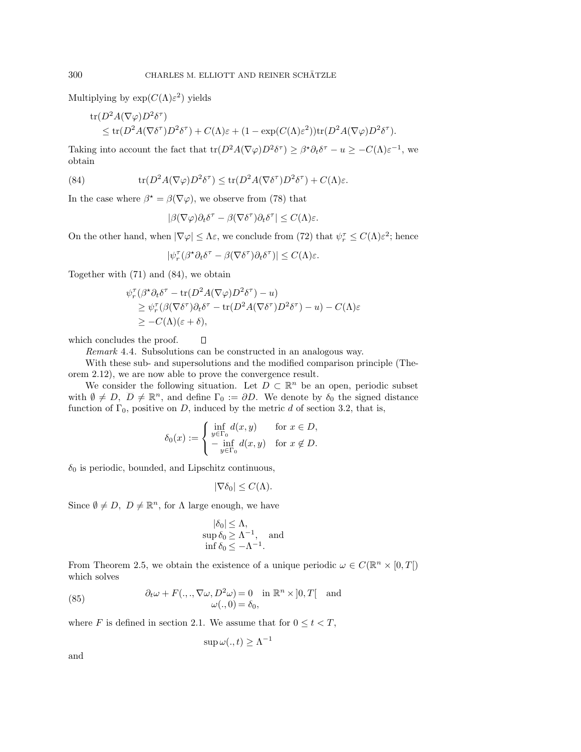Multiplying by  $\exp(C(\Lambda)\varepsilon^2)$  yields

tr
$$
(D^2 A(\nabla \varphi) D^2 \delta^{\tau})
$$
  
\n $\leq$  tr $(D^2 A(\nabla \delta^{\tau}) D^2 \delta^{\tau}) + C(\Lambda) \varepsilon + (1 - \exp(C(\Lambda) \varepsilon^2)) \text{tr}(D^2 A(\nabla \varphi) D^2 \delta^{\tau}).$ 

Taking into account the fact that  $\text{tr}(D^2A(\nabla\varphi)D^2\delta^{\tau}) \geq \beta^{\star}\partial_t\delta^{\tau} - u \geq -C(\Lambda)\varepsilon^{-1}$ , we obtain

(84) 
$$
\operatorname{tr}(D^2 A(\nabla \varphi) D^2 \delta^{\tau}) \leq \operatorname{tr}(D^2 A(\nabla \delta^{\tau}) D^2 \delta^{\tau}) + C(\Lambda) \varepsilon.
$$

In the case where  $\beta^* = \beta(\nabla \varphi)$ , we observe from (78) that

$$
|\beta(\nabla\varphi)\partial_t \delta^\tau - \beta(\nabla \delta^\tau)\partial_t \delta^\tau| \le C(\Lambda)\varepsilon.
$$

On the other hand, when  $|\nabla \varphi| \leq \Lambda \varepsilon$ , we conclude from (72) that  $\psi_r^{\tau} \leq C(\Lambda) \varepsilon^2$ ; hence

$$
|\psi_r^\tau(\beta^\star \partial_t \delta^\tau - \beta (\nabla \delta^\tau) \partial_t \delta^\tau)| \leq C(\Lambda) \varepsilon.
$$

Together with (71) and (84), we obtain

$$
\psi_r^{\tau}(\beta^{\star}\partial_t \delta^{\tau} - \text{tr}(D^2 A(\nabla \varphi)D^2 \delta^{\tau}) - u) \n\geq \psi_r^{\tau}(\beta(\nabla \delta^{\tau})\partial_t \delta^{\tau} - \text{tr}(D^2 A(\nabla \delta^{\tau})D^2 \delta^{\tau}) - u) - C(\Lambda)\varepsilon \n\geq -C(\Lambda)(\varepsilon + \delta),
$$

which concludes the proof.

Remark 4.4. Subsolutions can be constructed in an analogous way.

 $\Box$ 

With these sub- and supersolutions and the modified comparison principle (Theorem 2.12), we are now able to prove the convergence result.

We consider the following situation. Let  $D \subset \mathbb{R}^n$  be an open, periodic subset with  $\emptyset \neq D$ ,  $\overline{D} \neq \mathbb{R}^n$ , and define  $\Gamma_0 := \partial D$ . We denote by  $\delta_0$  the signed distance function of  $\Gamma_0$ , positive on D, induced by the metric d of section 3.2, that is,

$$
\delta_0(x) := \begin{cases} \inf_{y \in \Gamma_0} d(x, y) & \text{for } x \in D, \\ -\inf_{y \in \Gamma_0} d(x, y) & \text{for } x \notin D. \end{cases}
$$

 $\delta_0$  is periodic, bounded, and Lipschitz continuous,

$$
|\nabla \delta_0| \le C(\Lambda).
$$

Since  $\emptyset \neq D$ ,  $\overline{D} \neq \mathbb{R}^n$ , for  $\Lambda$  large enough, we have

$$
|\delta_0| \leq \Lambda,
$$
  
sup  $\delta_0 \geq \Lambda^{-1}$ , and  
inf  $\delta_0 \leq -\Lambda^{-1}$ .

From Theorem 2.5, we obtain the existence of a unique periodic  $\omega \in C(\mathbb{R}^n \times [0,T])$ which solves

(85) 
$$
\partial_t \omega + F(.,., \nabla \omega, D^2 \omega) = 0 \text{ in } \mathbb{R}^n \times ]0, T[ \text{ and } \omega(.,0) = \delta_0,
$$

where F is defined in section 2.1. We assume that for  $0 \le t < T$ ,

$$
\sup \omega(.,t) \ge \Lambda^{-1}
$$

and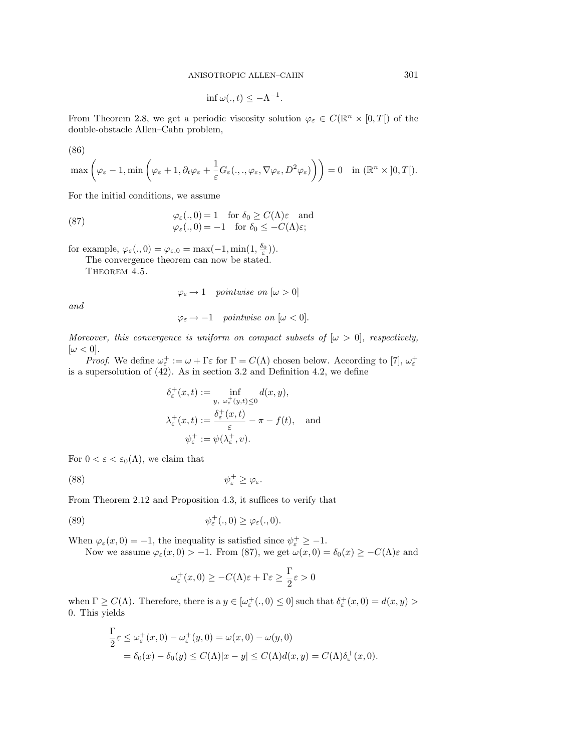$$
\inf \omega(.,t) \le -\Lambda^{-1}.
$$

From Theorem 2.8, we get a periodic viscosity solution  $\varphi_{\varepsilon} \in C(\mathbb{R}^n \times [0,T])$  of the double-obstacle Allen–Cahn problem,

(86)

$$
\max\left(\varphi_{\varepsilon}-1,\min\left(\varphi_{\varepsilon}+1,\partial_t\varphi_{\varepsilon}+\frac{1}{\varepsilon}G_{\varepsilon}(.,.,\varphi_{\varepsilon},\nabla\varphi_{\varepsilon},D^2\varphi_{\varepsilon})\right)\right)=0 \quad \text{in } (\mathbb{R}^n \times ]0,T[).
$$

For the initial conditions, we assume

(87) 
$$
\varphi_{\varepsilon}(.,0) = 1 \text{ for } \delta_0 \ge C(\Lambda)\varepsilon \text{ and } \n\varphi_{\varepsilon}(.,0) = -1 \text{ for } \delta_0 \le -C(\Lambda)\varepsilon;
$$

for example,  $\varphi_{\varepsilon}(\cdot, 0) = \varphi_{\varepsilon,0} = \max(-1, \min(1, \frac{\delta_0}{\varepsilon}))$ .

The convergence theorem can now be stated.

THEOREM 4.5.

$$
\varphi_{\varepsilon} \to 1 \quad pointwise \, \, on \, \, [\omega > 0]
$$

and

$$
\varphi_{\varepsilon} \to -1
$$
 pointwise on  $[\omega < 0]$ .

Moreover, this convergence is uniform on compact subsets of  $[\omega > 0]$ , respectively,  $[\omega < 0].$ 

*Proof.* We define  $\omega_{\varepsilon}^+ := \omega + \Gamma \varepsilon$  for  $\Gamma = C(\Lambda)$  chosen below. According to [7],  $\omega_{\varepsilon}^+$ is a supersolution of  $(42)$ . As in section 3.2 and Definition 4.2, we define

$$
\delta_{\varepsilon}^{+}(x,t) := \inf_{y, \ \omega_{\varepsilon}^{+}(y,t) \leq 0} d(x,y),
$$

$$
\lambda_{\varepsilon}^{+}(x,t) := \frac{\delta_{\varepsilon}^{+}(x,t)}{\varepsilon} - \pi - f(t), \text{ and}
$$

$$
\psi_{\varepsilon}^{+} := \psi(\lambda_{\varepsilon}^{+}, v).
$$

For  $0 < \varepsilon < \varepsilon_0(\Lambda)$ , we claim that

$$
\psi_{\varepsilon}^{+} \geq \varphi_{\varepsilon}.
$$

From Theorem 2.12 and Proposition 4.3, it suffices to verify that

(89) 
$$
\psi_{\varepsilon}^{+}(.,0) \geq \varphi_{\varepsilon}(.,0).
$$

When  $\varphi_{\varepsilon}(x,0) = -1$ , the inequality is satisfied since  $\psi_{\varepsilon}^+ \geq -1$ .

Now we assume 
$$
\varphi_{\varepsilon}(x,0) > -1
$$
. From (87), we get  $\omega(x,0) = \delta_0(x) \geq -C(\Lambda)\varepsilon$  and

$$
\omega_{\varepsilon}^{+}(x,0) \geq -C(\Lambda)\varepsilon + \Gamma\varepsilon \geq \frac{\Gamma}{2}\varepsilon > 0
$$

when  $\Gamma \geq C(\Lambda)$ . Therefore, there is a  $y \in [\omega_{\varepsilon}^+(\cdot,0) \leq 0]$  such that  $\delta_{\varepsilon}^+(x,0) = d(x,y) >$ 0. This yields

$$
\begin{aligned} \frac{\Gamma}{2}\varepsilon &\leq \omega_{\varepsilon}^{+}(x,0)-\omega_{\varepsilon}^{+}(y,0)=\omega(x,0)-\omega(y,0) \\ &=\delta_{0}(x)-\delta_{0}(y)\leq C(\Lambda)|x-y|\leq C(\Lambda)d(x,y)=C(\Lambda)\delta_{\varepsilon}^{+}(x,0). \end{aligned}
$$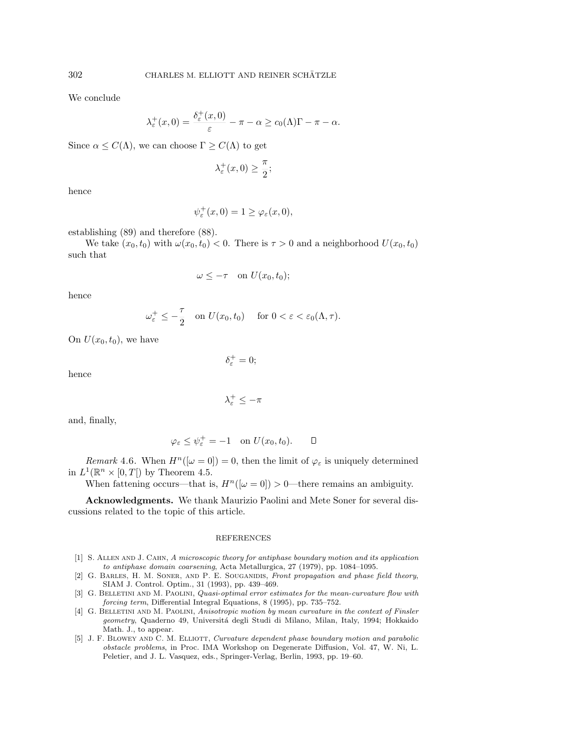We conclude

$$
\lambda_{\varepsilon}^{+}(x,0)=\frac{\delta_{\varepsilon}^{+}(x,0)}{\varepsilon}-\pi-\alpha\geq c_{0}(\Lambda)\Gamma-\pi-\alpha.
$$

Since  $\alpha \leq C(\Lambda)$ , we can choose  $\Gamma \geq C(\Lambda)$  to get

$$
\lambda_{\varepsilon}^{+}(x,0) \geq \frac{\pi}{2};
$$

hence

$$
\psi_{\varepsilon}^{+}(x,0)=1\geq\varphi_{\varepsilon}(x,0),
$$

establishing (89) and therefore (88).

We take  $(x_0, t_0)$  with  $\omega(x_0, t_0) < 0$ . There is  $\tau > 0$  and a neighborhood  $U(x_0, t_0)$ such that

$$
\omega \leq -\tau \quad \text{on } U(x_0, t_0);
$$

hence

$$
\omega_{\varepsilon}^+ \leq -\frac{\tau}{2} \quad \text{on } U(x_0, t_0) \quad \text{ for } 0 < \varepsilon < \varepsilon_0(\Lambda, \tau).
$$

 $\delta_{\varepsilon}^+ = 0;$ 

On  $U(x_0, t_0)$ , we have

hence

$$
\lambda_{\varepsilon}^{+}\leq-\pi
$$

and, finally,

$$
\varphi_{\varepsilon} \le \psi_{\varepsilon}^+ = -1 \quad \text{on } U(x_0, t_0). \qquad \Box
$$

Remark 4.6. When  $H^n([\omega = 0]) = 0$ , then the limit of  $\varphi_{\varepsilon}$  is uniquely determined in  $L^1(\mathbb{R}^n \times [0,T])$  by Theorem 4.5.

When fattening occurs—that is,  $H^n([\omega = 0]) > 0$ —there remains an ambiguity.

**Acknowledgments.** We thank Maurizio Paolini and Mete Soner for several discussions related to the topic of this article.

#### REFERENCES

- [1] S. Allen and J. Cahn, A microscopic theory for antiphase boundary motion and its application to antiphase domain coarsening, Acta Metallurgica, 27 (1979), pp. 1084–1095.
- [2] G. BARLES, H. M. SONER, AND P. E. SOUGANIDIS, Front propagation and phase field theory, SIAM J. Control. Optim., 31 (1993), pp. 439–469.
- [3] G. BELLETINI AND M. PAOLINI, Quasi-optimal error estimates for the mean-curvature flow with forcing term, Differential Integral Equations, 8 (1995), pp. 735–752.
- [4] G. BELLETINI AND M. PAOLINI, Anisotropic motion by mean curvature in the context of Finsler geometry, Quaderno 49, Universitá degli Studi di Milano, Milan, Italy, 1994; Hokkaido Math. J., to appear.
- [5] J. F. BLOWEY AND C. M. ELLIOTT, Curvature dependent phase boundary motion and parabolic obstacle problems, in Proc. IMA Workshop on Degenerate Diffusion, Vol. 47, W. Ni, L. Peletier, and J. L. Vasquez, eds., Springer-Verlag, Berlin, 1993, pp. 19–60.